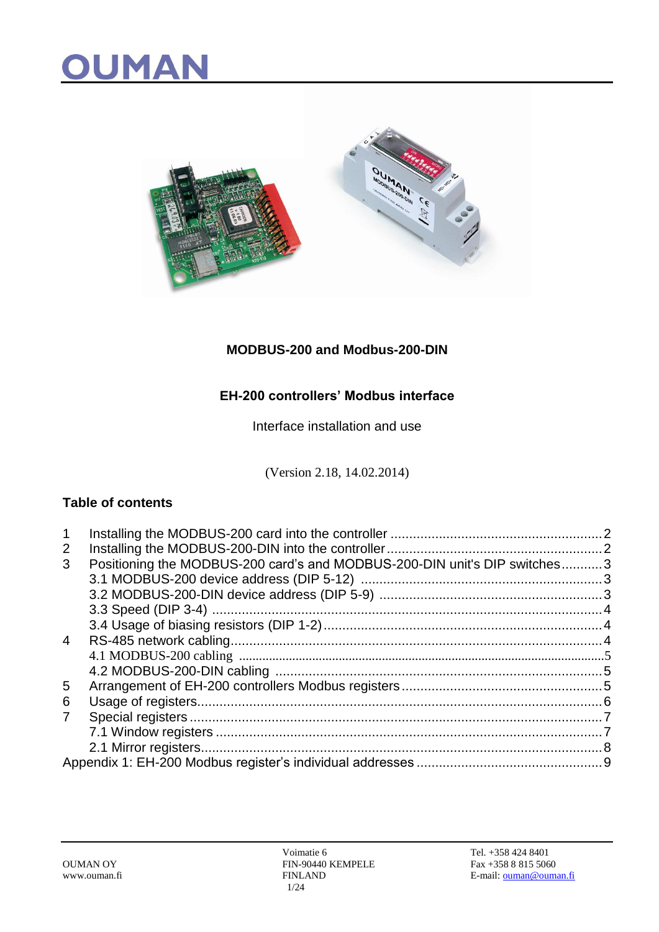

### **MODBUS-200 and Modbus-200-DIN**

### **EH-200 controllers' Modbus interface**

Interface installation and use

(Version 2.18, 14.02.2014)

#### **Table of contents**

| -1             |                                                                           |  |
|----------------|---------------------------------------------------------------------------|--|
| 2              |                                                                           |  |
| 3              | Positioning the MODBUS-200 card's and MODBUS-200-DIN unit's DIP switches3 |  |
|                |                                                                           |  |
|                |                                                                           |  |
|                |                                                                           |  |
|                |                                                                           |  |
| $\overline{4}$ |                                                                           |  |
|                |                                                                           |  |
|                |                                                                           |  |
| 5              |                                                                           |  |
| 6              |                                                                           |  |
| 7              |                                                                           |  |
|                |                                                                           |  |
|                |                                                                           |  |
|                |                                                                           |  |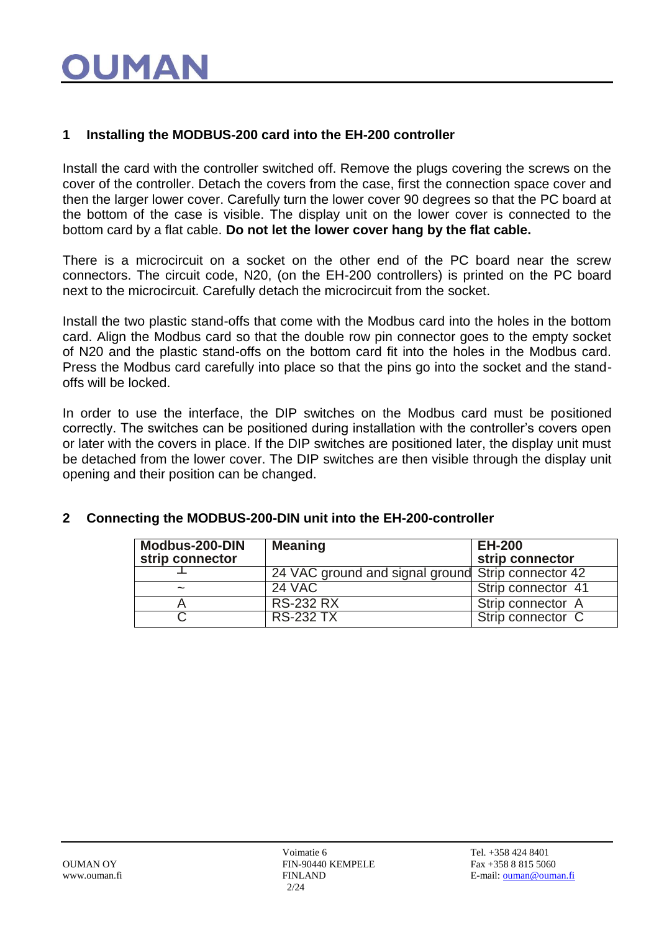# OUMA

#### **1 Installing the MODBUS-200 card into the EH-200 controller**

Install the card with the controller switched off. Remove the plugs covering the screws on the cover of the controller. Detach the covers from the case, first the connection space cover and then the larger lower cover. Carefully turn the lower cover 90 degrees so that the PC board at the bottom of the case is visible. The display unit on the lower cover is connected to the bottom card by a flat cable. **Do not let the lower cover hang by the flat cable.**

There is a microcircuit on a socket on the other end of the PC board near the screw connectors. The circuit code, N20, (on the EH-200 controllers) is printed on the PC board next to the microcircuit. Carefully detach the microcircuit from the socket.

Install the two plastic stand-offs that come with the Modbus card into the holes in the bottom card. Align the Modbus card so that the double row pin connector goes to the empty socket of N20 and the plastic stand-offs on the bottom card fit into the holes in the Modbus card. Press the Modbus card carefully into place so that the pins go into the socket and the standoffs will be locked.

In order to use the interface, the DIP switches on the Modbus card must be positioned correctly. The switches can be positioned during installation with the controller's covers open or later with the covers in place. If the DIP switches are positioned later, the display unit must be detached from the lower cover. The DIP switches are then visible through the display unit opening and their position can be changed.

| Modbus-200-DIN<br>strip connector | <b>Meaning</b>                                     | <b>EH-200</b><br>strip connector |
|-----------------------------------|----------------------------------------------------|----------------------------------|
|                                   | 24 VAC ground and signal ground Strip connector 42 |                                  |
| $\tilde{\phantom{a}}$             | <b>24 VAC</b>                                      | Strip connector 41               |
|                                   | <b>RS-232 RX</b>                                   | Strip connector A                |
|                                   | <b>RS-232 TX</b>                                   | Strip connector C                |

#### **2 Connecting the MODBUS-200-DIN unit into the EH-200-controller**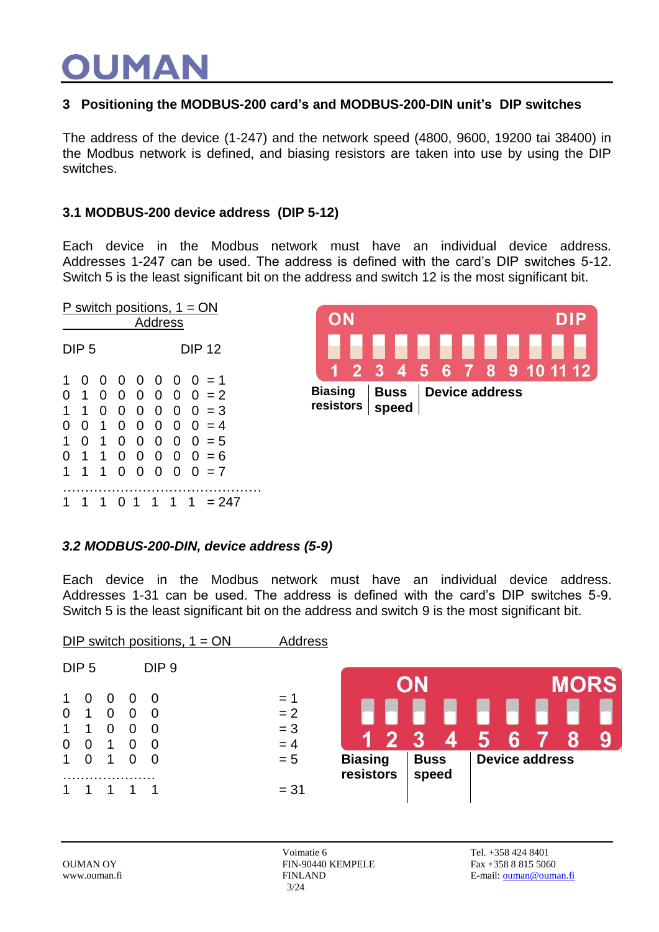#### **3 Positioning the MODBUS-200 card's and MODBUS-200-DIN unit's DIP switches**

The address of the device (1-247) and the network speed (4800, 9600, 19200 tai 38400) in the Modbus network is defined, and biasing resistors are taken into use by using the DIP switches.

#### **3.1 MODBUS-200 device address (DIP 5-12)**

Each device in the Modbus network must have an individual device address. Addresses 1-247 can be used. The address is defined with the card's DIP switches 5-12. Switch 5 is the least significant bit on the address and switch 12 is the most significant bit.





#### *3.2 MODBUS-200-DIN, device address (5-9)*

Each device in the Modbus network must have an individual device address. Addresses 1-31 can be used. The address is defined with the card's DIP switches 5-9. Switch 5 is the least significant bit on the address and switch 9 is the most significant bit.

|                                         |                  |                            |                                       | DIP switch positions, $1 = ON$                    |  | Address                          |                             |                      |   |                       |             |   |
|-----------------------------------------|------------------|----------------------------|---------------------------------------|---------------------------------------------------|--|----------------------------------|-----------------------------|----------------------|---|-----------------------|-------------|---|
|                                         | DIP <sub>5</sub> |                            |                                       | DIP <sub>9</sub>                                  |  |                                  |                             | ON                   |   |                       | <b>MORS</b> |   |
| 1<br>$\overline{0}$<br>1<br>$\mathbf 0$ | O<br>1<br>1<br>0 | 0<br>0<br>0<br>$\mathbf 1$ | $\Omega$<br>$\Omega$<br>0<br>$\Omega$ | $\Omega$<br>$\overline{0}$<br>0<br>$\overline{0}$ |  | $= 1$<br>$= 2$<br>$= 3$<br>$= 4$ |                             |                      | 4 |                       | 8           | 9 |
| 1                                       | 0                | 1                          | 0                                     | $\overline{0}$                                    |  | $= 5$                            | <b>Biasing</b><br>resistors | <b>Buss</b><br>speed |   | <b>Device address</b> |             |   |
|                                         |                  |                            |                                       |                                                   |  | $= 31$                           |                             |                      |   |                       |             |   |

Voimatie 6 Tel. +358 424 8401 OUMAN OY FIN-90440 KEMPELE Fax +358 8 815 5060 3/24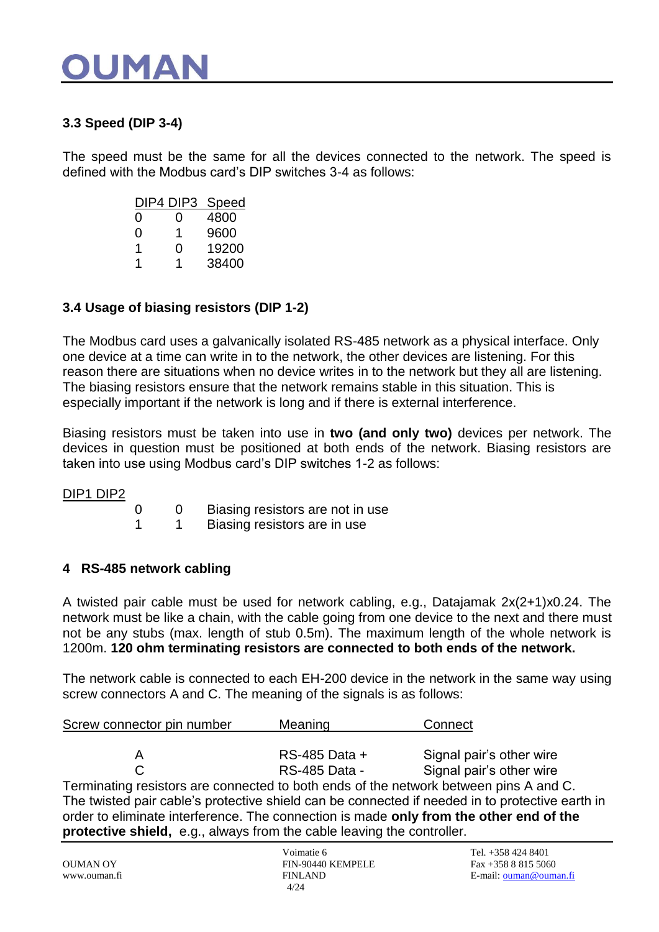### OUMA

### **3.3 Speed (DIP 3-4)**

The speed must be the same for all the devices connected to the network. The speed is defined with the Modbus card's DIP switches 3-4 as follows:

|   | DIP4 DIP3 | <b>Speed</b> |
|---|-----------|--------------|
| 0 | 0         | 4800         |
| O | 1         | 9600         |
| 1 | 0         | 19200        |
| 1 | 1         | 38400        |

#### **3.4 Usage of biasing resistors (DIP 1-2)**

The Modbus card uses a galvanically isolated RS-485 network as a physical interface. Only one device at a time can write in to the network, the other devices are listening. For this reason there are situations when no device writes in to the network but they all are listening. The biasing resistors ensure that the network remains stable in this situation. This is especially important if the network is long and if there is external interference.

Biasing resistors must be taken into use in **two (and only two)** devices per network. The devices in question must be positioned at both ends of the network. Biasing resistors are taken into use using Modbus card's DIP switches 1-2 as follows:

#### DIP1 DIP2

| 0 | Biasing resistors are not in use |
|---|----------------------------------|
|   | Biasing resistors are in use     |

#### **4 RS-485 network cabling**

A twisted pair cable must be used for network cabling, e.g., Datajamak 2x(2+1)x0.24. The network must be like a chain, with the cable going from one device to the next and there must not be any stubs (max. length of stub 0.5m). The maximum length of the whole network is 1200m. **120 ohm terminating resistors are connected to both ends of the network.**

The network cable is connected to each EH-200 device in the network in the same way using screw connectors A and C. The meaning of the signals is as follows:

| Screw connector pin number                                                         | Meaning       | Connect                  |  |  |
|------------------------------------------------------------------------------------|---------------|--------------------------|--|--|
|                                                                                    | RS-485 Data + | Signal pair's other wire |  |  |
|                                                                                    | RS-485 Data - | Signal pair's other wire |  |  |
| Torminating resistors are connected to both ands of the natural between nins A and |               |                          |  |  |

I erminating resistors are connected to both ends of the network between pins A and C. The twisted pair cable's protective shield can be connected if needed in to protective earth in order to eliminate interference. The connection is made **only from the other end of the protective shield,** e.g., always from the cable leaving the controller.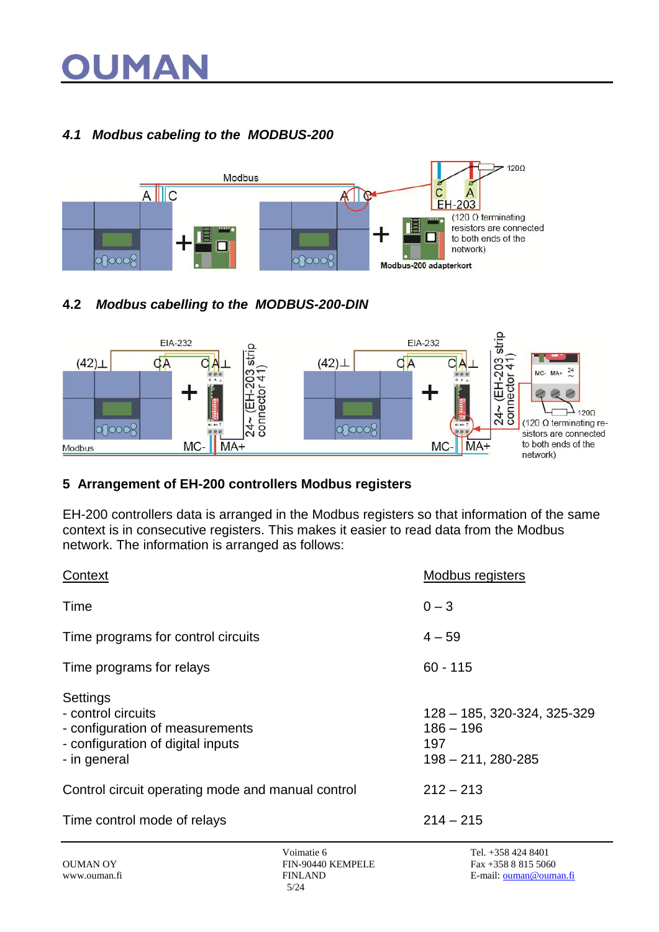# JMA

### *4.1 Modbus cabeling to the MODBUS-200*



### **4.2** *Modbus cabelling to the MODBUS-200-DIN*



### **5 Arrangement of EH-200 controllers Modbus registers**

EH-200 controllers data is arranged in the Modbus registers so that information of the same context is in consecutive registers. This makes it easier to read data from the Modbus network. The information is arranged as follows:

| Context                                                                                                                | <b>Modbus registers</b>                                                     |
|------------------------------------------------------------------------------------------------------------------------|-----------------------------------------------------------------------------|
| Time                                                                                                                   | $0 - 3$                                                                     |
| Time programs for control circuits                                                                                     | $4 - 59$                                                                    |
| Time programs for relays                                                                                               | $60 - 115$                                                                  |
| Settings<br>- control circuits<br>- configuration of measurements<br>- configuration of digital inputs<br>- in general | 128 - 185, 320-324, 325-329<br>$186 - 196$<br>197<br>$198 - 211, 280 - 285$ |
| Control circuit operating mode and manual control                                                                      | $212 - 213$                                                                 |
| Time control mode of relays                                                                                            | $214 - 215$                                                                 |
|                                                                                                                        |                                                                             |

Voimatie 6 Tel. +358 424 8401<br>FIN-90440 KEMPELE Fax +358 8 815 5060 OUMAN OY FIN-90440 KEMPELE 5/24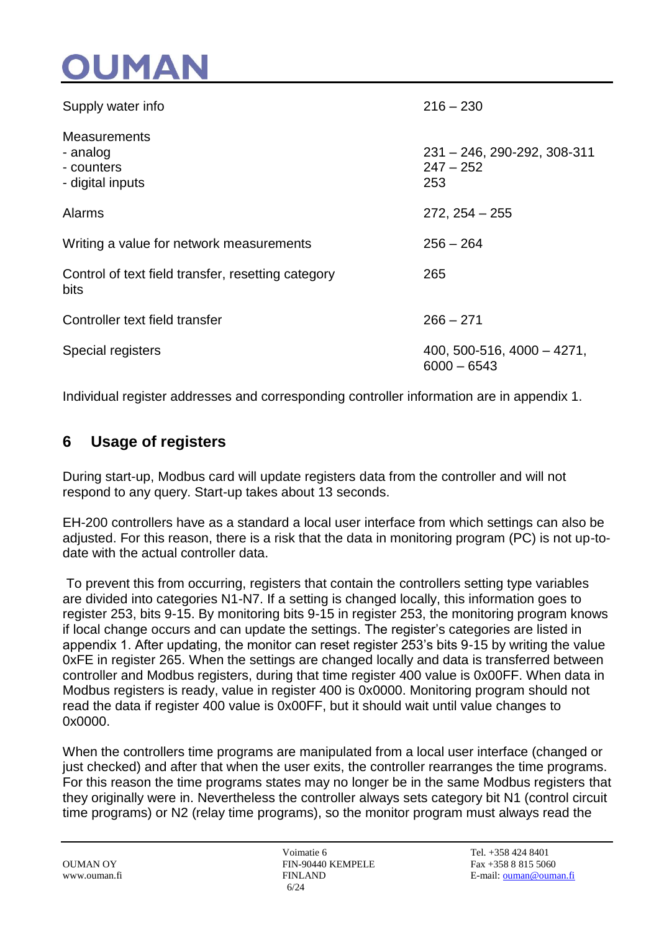

| Supply water info                                                 | $216 - 230$                                       |
|-------------------------------------------------------------------|---------------------------------------------------|
| <b>Measurements</b><br>- analog<br>- counters<br>- digital inputs | 231 - 246, 290-292, 308-311<br>$247 - 252$<br>253 |
| Alarms                                                            | $272, 254 - 255$                                  |
| Writing a value for network measurements                          | $256 - 264$                                       |
| Control of text field transfer, resetting category<br>bits        | 265                                               |
| Controller text field transfer                                    | $266 - 271$                                       |
| Special registers                                                 | $400, 500 - 516, 4000 - 4271,$<br>$6000 - 6543$   |

Individual register addresses and corresponding controller information are in appendix 1.

### **6 Usage of registers**

During start-up, Modbus card will update registers data from the controller and will not respond to any query. Start-up takes about 13 seconds.

EH-200 controllers have as a standard a local user interface from which settings can also be adjusted. For this reason, there is a risk that the data in monitoring program (PC) is not up-todate with the actual controller data.

To prevent this from occurring, registers that contain the controllers setting type variables are divided into categories N1-N7. If a setting is changed locally, this information goes to register 253, bits 9-15. By monitoring bits 9-15 in register 253, the monitoring program knows if local change occurs and can update the settings. The register's categories are listed in appendix 1. After updating, the monitor can reset register 253's bits 9-15 by writing the value 0xFE in register 265. When the settings are changed locally and data is transferred between controller and Modbus registers, during that time register 400 value is 0x00FF. When data in Modbus registers is ready, value in register 400 is 0x0000. Monitoring program should not read the data if register 400 value is 0x00FF, but it should wait until value changes to 0x0000.

When the controllers time programs are manipulated from a local user interface (changed or just checked) and after that when the user exits, the controller rearranges the time programs. For this reason the time programs states may no longer be in the same Modbus registers that they originally were in. Nevertheless the controller always sets category bit N1 (control circuit time programs) or N2 (relay time programs), so the monitor program must always read the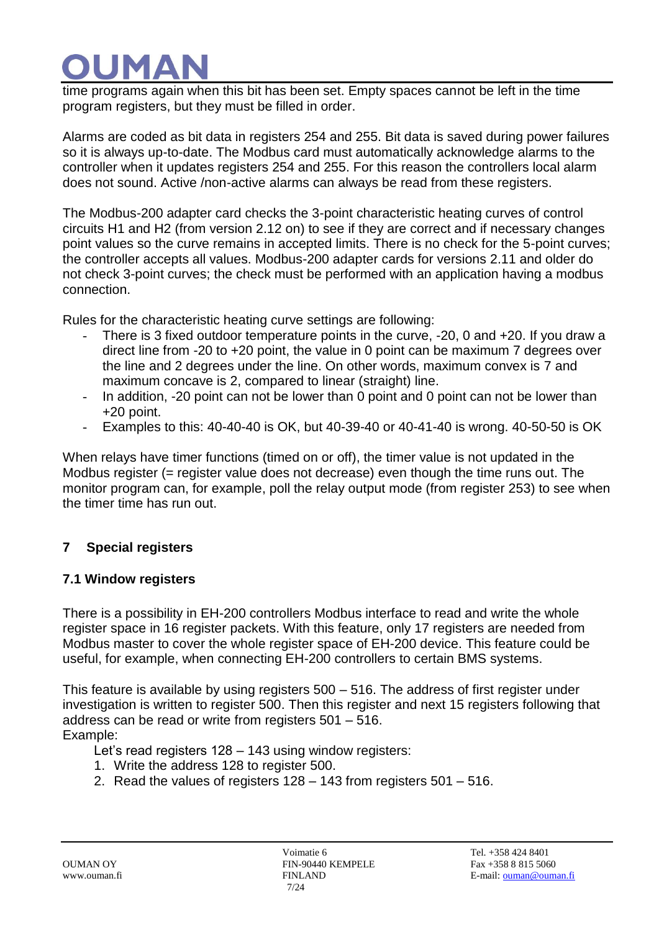# IMA

time programs again when this bit has been set. Empty spaces cannot be left in the time program registers, but they must be filled in order.

Alarms are coded as bit data in registers 254 and 255. Bit data is saved during power failures so it is always up-to-date. The Modbus card must automatically acknowledge alarms to the controller when it updates registers 254 and 255. For this reason the controllers local alarm does not sound. Active /non-active alarms can always be read from these registers.

The Modbus-200 adapter card checks the 3-point characteristic heating curves of control circuits H1 and H2 (from version 2.12 on) to see if they are correct and if necessary changes point values so the curve remains in accepted limits. There is no check for the 5-point curves; the controller accepts all values. Modbus-200 adapter cards for versions 2.11 and older do not check 3-point curves; the check must be performed with an application having a modbus connection.

Rules for the characteristic heating curve settings are following:

- There is 3 fixed outdoor temperature points in the curve, -20, 0 and +20. If you draw a direct line from -20 to +20 point, the value in 0 point can be maximum 7 degrees over the line and 2 degrees under the line. On other words, maximum convex is 7 and maximum concave is 2, compared to linear (straight) line.
- In addition, -20 point can not be lower than 0 point and 0 point can not be lower than +20 point.
- Examples to this: 40-40-40 is OK, but 40-39-40 or 40-41-40 is wrong. 40-50-50 is OK

When relays have timer functions (timed on or off), the timer value is not updated in the Modbus register (= register value does not decrease) even though the time runs out. The monitor program can, for example, poll the relay output mode (from register 253) to see when the timer time has run out.

### **7 Special registers**

### **7.1 Window registers**

There is a possibility in EH-200 controllers Modbus interface to read and write the whole register space in 16 register packets. With this feature, only 17 registers are needed from Modbus master to cover the whole register space of EH-200 device. This feature could be useful, for example, when connecting EH-200 controllers to certain BMS systems.

This feature is available by using registers 500 – 516. The address of first register under investigation is written to register 500. Then this register and next 15 registers following that address can be read or write from registers 501 – 516. Example:

Let's read registers 128 – 143 using window registers:

- 1. Write the address 128 to register 500.
- 2. Read the values of registers 128 143 from registers 501 516.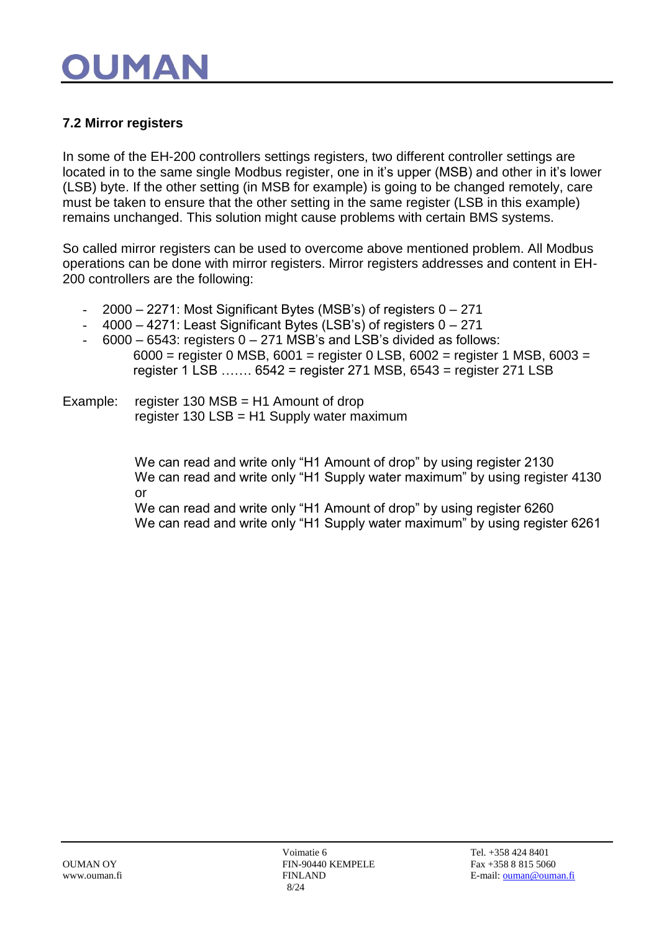# OUMA

### **7.2 Mirror registers**

In some of the EH-200 controllers settings registers, two different controller settings are located in to the same single Modbus register, one in it's upper (MSB) and other in it's lower (LSB) byte. If the other setting (in MSB for example) is going to be changed remotely, care must be taken to ensure that the other setting in the same register (LSB in this example) remains unchanged. This solution might cause problems with certain BMS systems.

So called mirror registers can be used to overcome above mentioned problem. All Modbus operations can be done with mirror registers. Mirror registers addresses and content in EH-200 controllers are the following:

- $2000 2271$ : Most Significant Bytes (MSB's) of registers  $0 271$
- 4000 4271: Least Significant Bytes (LSB's) of registers 0 271
- $6000 6543$ : registers  $0 271$  MSB's and LSB's divided as follows: 6000 = register 0 MSB, 6001 = register 0 LSB, 6002 = register 1 MSB, 6003 = register 1 LSB ……. 6542 = register 271 MSB, 6543 = register 271 LSB
- Example: register 130 MSB = H1 Amount of drop register 130 LSB = H1 Supply water maximum

We can read and write only "H1 Amount of drop" by using register 2130 We can read and write only "H1 Supply water maximum" by using register 4130 or

We can read and write only "H1 Amount of drop" by using register 6260 We can read and write only "H1 Supply water maximum" by using register 6261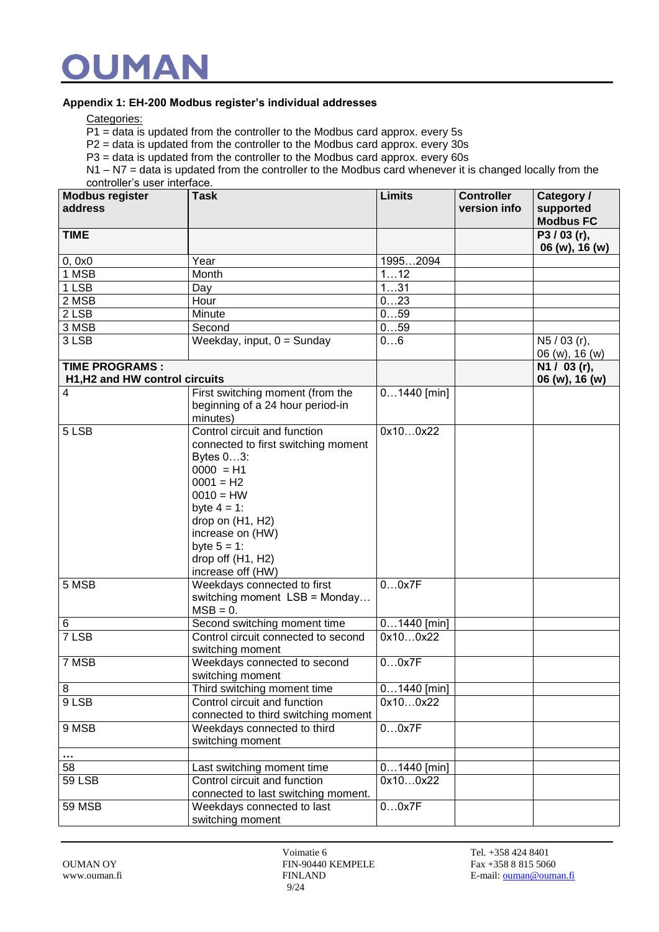#### **Appendix 1: EH-200 Modbus register's individual addresses**

Categories:

P1 = data is updated from the controller to the Modbus card approx. every 5s

 $P2$  = data is updated from the controller to the Modbus card approx. every 30s

 $P3$  = data is updated from the controller to the Modbus card approx. every 60s

N1 – N7 = data is updated from the controller to the Modbus card whenever it is changed locally from the controller's user interface.

| <b>Modbus register</b><br>address                       | <b>Task</b>                                                                                                                                                                                                                                                                                                                       | <b>Limits</b>     | <b>Controller</b><br>version info | Category /<br>supported<br><b>Modbus FC</b> |
|---------------------------------------------------------|-----------------------------------------------------------------------------------------------------------------------------------------------------------------------------------------------------------------------------------------------------------------------------------------------------------------------------------|-------------------|-----------------------------------|---------------------------------------------|
| <b>TIME</b>                                             |                                                                                                                                                                                                                                                                                                                                   |                   |                                   | P3/03(r),<br>06 (w), 16 (w)                 |
| 0, 0x0                                                  | Year                                                                                                                                                                                                                                                                                                                              | 19952094          |                                   |                                             |
| 1 MSB                                                   | Month                                                                                                                                                                                                                                                                                                                             | 112               |                                   |                                             |
| 1 LSB                                                   | Day                                                                                                                                                                                                                                                                                                                               | 131               |                                   |                                             |
| 2 MSB                                                   | Hour                                                                                                                                                                                                                                                                                                                              | 023               |                                   |                                             |
| 2 LSB                                                   | Minute                                                                                                                                                                                                                                                                                                                            | 059               |                                   |                                             |
| 3 MSB                                                   | Second                                                                                                                                                                                                                                                                                                                            | 059               |                                   |                                             |
| 3 LSB                                                   | Weekday, input, $0 =$ Sunday                                                                                                                                                                                                                                                                                                      | 06                |                                   | N5 / 03 (r),<br>06 (w), 16 (w)              |
| <b>TIME PROGRAMS:</b><br>H1, H2 and HW control circuits |                                                                                                                                                                                                                                                                                                                                   |                   |                                   | N1 / 03 (r),<br>06 (w), 16 (w)              |
| 4                                                       | First switching moment (from the<br>beginning of a 24 hour period-in<br>minutes)                                                                                                                                                                                                                                                  | $01440$ [min]     |                                   |                                             |
| 5 LSB<br>5 MSB                                          | Control circuit and function<br>connected to first switching moment<br>Bytes 03:<br>$0000 = H1$<br>$0001 = H2$<br>$0010 = HW$<br>byte $4 = 1$ :<br>drop on (H1, H2)<br>increase on (HW)<br>byte $5 = 1$ :<br>drop off (H1, H2)<br>increase off (HW)<br>Weekdays connected to first<br>switching moment LSB = Monday<br>$MSB = 0.$ | 0x100x22<br>00x7F |                                   |                                             |
| 6                                                       | Second switching moment time                                                                                                                                                                                                                                                                                                      | $01440$ [min]     |                                   |                                             |
| 7 LSB                                                   | Control circuit connected to second<br>switching moment                                                                                                                                                                                                                                                                           | 0x100x22          |                                   |                                             |
| 7 MSB                                                   | Weekdays connected to second<br>switching moment                                                                                                                                                                                                                                                                                  | 00x7F             |                                   |                                             |
| $\overline{8}$                                          | Third switching moment time                                                                                                                                                                                                                                                                                                       | $01440$ [min]     |                                   |                                             |
| 9 LSB                                                   | Control circuit and function<br>connected to third switching moment                                                                                                                                                                                                                                                               | 0x100x22          |                                   |                                             |
| 9 MSB                                                   | Weekdays connected to third<br>switching moment                                                                                                                                                                                                                                                                                   | 00x7F             |                                   |                                             |
| $\cdots$                                                |                                                                                                                                                                                                                                                                                                                                   |                   |                                   |                                             |
| 58                                                      | Last switching moment time                                                                                                                                                                                                                                                                                                        | $01440$ [min]     |                                   |                                             |
| <b>59 LSB</b>                                           | Control circuit and function<br>connected to last switching moment.                                                                                                                                                                                                                                                               | 0x100x22          |                                   |                                             |
| <b>59 MSB</b>                                           | Weekdays connected to last<br>switching moment                                                                                                                                                                                                                                                                                    | 00x7F             |                                   |                                             |

Voimatie 6 Tel. +358 424 8401 OUMAN OY FIN-90440 KEMPELE Fax +358 8 815 5060 9/24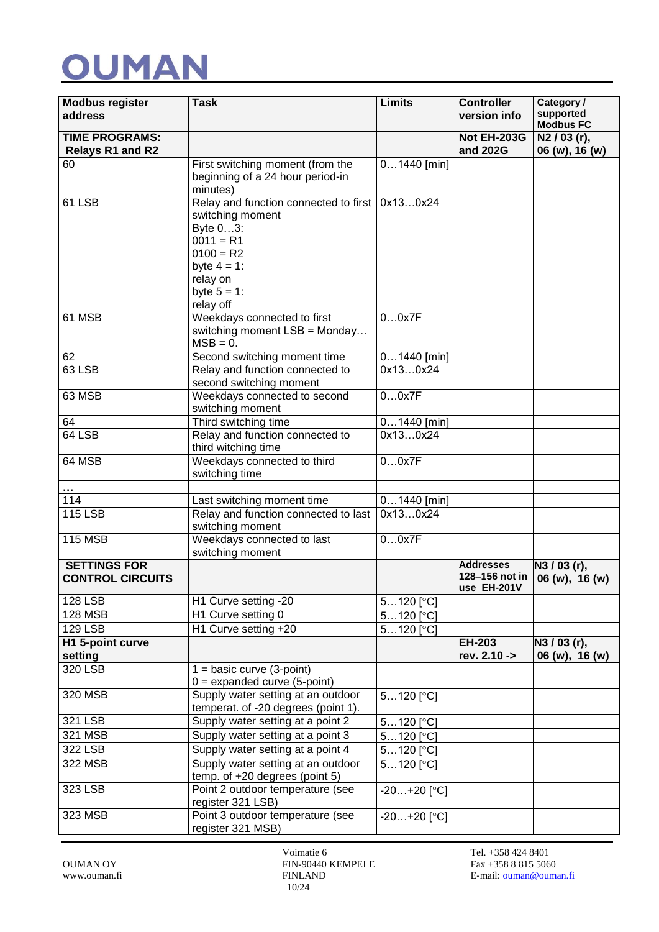

| <b>Modbus register</b><br>address                | <b>Task</b>                                                                                                                                                      | <b>Limits</b>          | <b>Controller</b><br>version info                 | Category /<br>supported<br><b>Modbus FC</b> |
|--------------------------------------------------|------------------------------------------------------------------------------------------------------------------------------------------------------------------|------------------------|---------------------------------------------------|---------------------------------------------|
| <b>TIME PROGRAMS:</b><br><b>Relays R1 and R2</b> |                                                                                                                                                                  |                        | <b>Not EH-203G</b><br>and 202G                    | $\overline{N2/03}$ (r),<br>06 (w), 16 (w)   |
| 60                                               | First switching moment (from the<br>beginning of a 24 hour period-in<br>minutes)                                                                                 | $01440$ [min]          |                                                   |                                             |
| 61 LSB                                           | Relay and function connected to first<br>switching moment<br>Byte 03:<br>$0011 = R1$<br>$0100 = R2$<br>byte $4 = 1$ :<br>relay on<br>byte $5 = 1$ :<br>relay off | 0x130x24               |                                                   |                                             |
| 61 MSB                                           | Weekdays connected to first<br>switching moment LSB = Monday<br>$MSB = 0.$                                                                                       | 00x7F                  |                                                   |                                             |
| 62                                               | Second switching moment time                                                                                                                                     | $01440$ [min]          |                                                   |                                             |
| 63 LSB                                           | Relay and function connected to<br>second switching moment                                                                                                       | 0x130x24               |                                                   |                                             |
| 63 MSB                                           | Weekdays connected to second<br>switching moment                                                                                                                 | 00x7F                  |                                                   |                                             |
| 64                                               | Third switching time                                                                                                                                             | $01440$ [min]          |                                                   |                                             |
| 64 LSB                                           | Relay and function connected to<br>third witching time                                                                                                           | 0x130x24               |                                                   |                                             |
| 64 MSB                                           | Weekdays connected to third<br>switching time                                                                                                                    | 00x7F                  |                                                   |                                             |
|                                                  |                                                                                                                                                                  |                        |                                                   |                                             |
| 114                                              | Last switching moment time                                                                                                                                       | $01440$ [min]          |                                                   |                                             |
| <b>115 LSB</b>                                   | Relay and function connected to last<br>switching moment                                                                                                         | 0x130x24               |                                                   |                                             |
| <b>115 MSB</b>                                   | Weekdays connected to last<br>switching moment                                                                                                                   | 00x7F                  |                                                   |                                             |
| <b>SETTINGS FOR</b><br><b>CONTROL CIRCUITS</b>   |                                                                                                                                                                  |                        | <b>Addresses</b><br>128-156 not in<br>use EH-201V | $\sqrt{N3 / 03}$ (r),<br>06 (w), 16 (w)     |
| <b>128 LSB</b>                                   | H1 Curve setting -20                                                                                                                                             | $5120$ [ $^{\circ}$ C] |                                                   |                                             |
| <b>128 MSB</b>                                   | H1 Curve setting 0                                                                                                                                               | $5120$ [ $^{\circ}$ C] |                                                   |                                             |
| <b>129 LSB</b>                                   | H1 Curve setting +20                                                                                                                                             | $5120$ [ $^{\circ}$ C] |                                                   |                                             |
| H1 5-point curve<br>setting                      |                                                                                                                                                                  |                        | EH-203<br>rev. 2.10 ->                            | N3 / 03 (r),<br>06 (w), 16 (w)              |
| 320 LSB                                          | $1 = basic curve (3-point)$<br>$0 =$ expanded curve (5-point)                                                                                                    |                        |                                                   |                                             |
| 320 MSB                                          | Supply water setting at an outdoor<br>temperat. of -20 degrees (point 1).                                                                                        | $5120$ [ $^{\circ}$ C] |                                                   |                                             |
| 321 LSB                                          | Supply water setting at a point 2                                                                                                                                | $5120$ [ $^{\circ}$ C] |                                                   |                                             |
| 321 MSB                                          | Supply water setting at a point 3                                                                                                                                | $5120$ [°C]            |                                                   |                                             |
| 322 LSB                                          | Supply water setting at a point 4                                                                                                                                | $5120$ [°C]            |                                                   |                                             |
| 322 MSB                                          | Supply water setting at an outdoor<br>temp. of +20 degrees (point 5)                                                                                             | $5120$ [°C]            |                                                   |                                             |
| 323 LSB                                          | Point 2 outdoor temperature (see<br>register 321 LSB)                                                                                                            | $-20+20$ [°C]          |                                                   |                                             |
| 323 MSB                                          | Point 3 outdoor temperature (see<br>register 321 MSB)                                                                                                            | $-20+20$ [°C]          |                                                   |                                             |

Voimatie 6 Tel. +358 424 8401 OUMAN OY FIN-90440 KEMPELE Fax +358 8 815 5060 10/24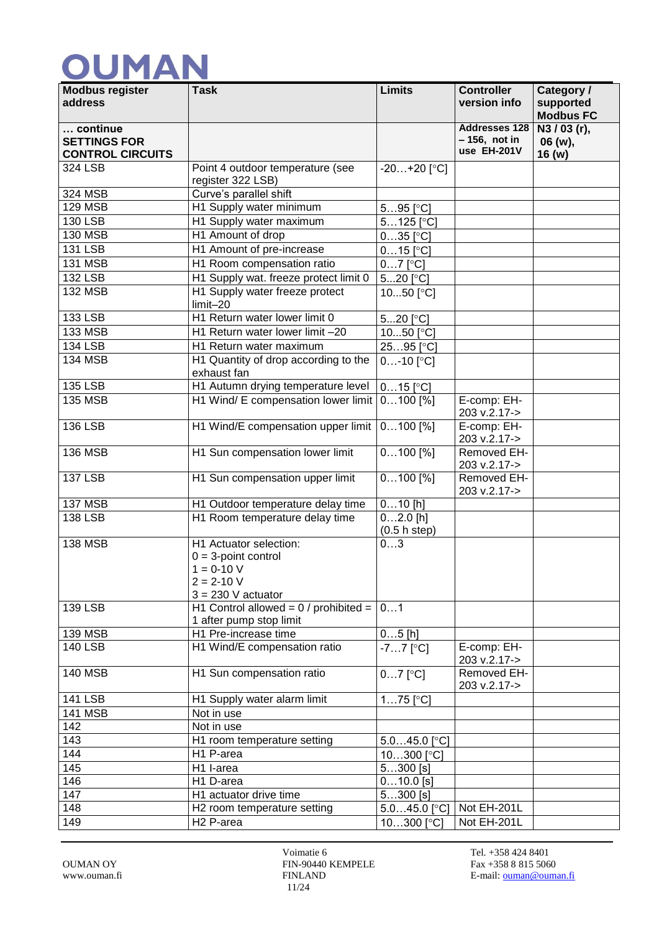| <b>Modbus register</b><br>address | <b>Task</b>                                           | <b>Limits</b>             | <b>Controller</b><br>version info | Category /<br>supported |
|-----------------------------------|-------------------------------------------------------|---------------------------|-----------------------------------|-------------------------|
|                                   |                                                       |                           |                                   | <b>Modbus FC</b>        |
| continue                          |                                                       |                           | <b>Addresses 128</b>              | N3 / 03 (r),            |
| <b>SETTINGS FOR</b>               |                                                       |                           | $-156$ , not in<br>use EH-201V    | 06 (w),                 |
| <b>CONTROL CIRCUITS</b>           |                                                       |                           |                                   | 16 (w)                  |
| 324 LSB                           | Point 4 outdoor temperature (see<br>register 322 LSB) | $-20+20$ [°C]             |                                   |                         |
| 324 MSB                           | Curve's parallel shift                                |                           |                                   |                         |
| <b>129 MSB</b>                    | H1 Supply water minimum                               | $595$ [ $^{\circ}$ C]     |                                   |                         |
| <b>130 LSB</b>                    | H1 Supply water maximum                               | $5125$ [°C]               |                                   |                         |
| <b>130 MSB</b>                    | H1 Amount of drop                                     | $035$ [ $^{\circ}$ C]     |                                   |                         |
| <b>131 LSB</b>                    | H1 Amount of pre-increase                             | $015$ [°C]                |                                   |                         |
| <b>131 MSB</b>                    | H1 Room compensation ratio                            | $07$ [ $^{\circ}$ C]      |                                   |                         |
| $132$ LSB                         | H1 Supply wat. freeze protect limit 0                 | 520 $[°C]$                |                                   |                         |
| <b>132 MSB</b>                    | H1 Supply water freeze protect                        | 1050 $[°C]$               |                                   |                         |
|                                   | limit-20                                              |                           |                                   |                         |
| <b>133 LSB</b>                    | H1 Return water lower limit 0                         | 520 <sup>[°</sup> C]      |                                   |                         |
| <b>133 MSB</b>                    | H1 Return water lower limit -20                       | 1050 $[°C]$               |                                   |                         |
| <b>134 LSB</b>                    | H1 Return water maximum                               | 2595 <sup>[°</sup> C]     |                                   |                         |
| <b>134 MSB</b>                    | H1 Quantity of drop according to the                  | $0$ -10 $[°C]$            |                                   |                         |
|                                   | exhaust fan                                           |                           |                                   |                         |
| <b>135 LSB</b>                    | H1 Autumn drying temperature level                    | $015$ [ $^{\circ}$ C]     |                                   |                         |
| <b>135 MSB</b>                    | H1 Wind/ E compensation lower limit                   | $0100$ [%]                | E-comp: EH-<br>203 v.2.17->       |                         |
| <b>136 LSB</b>                    | H1 Wind/E compensation upper limit                    | $0100$ [%]                | E-comp: EH-<br>203 v.2.17->       |                         |
| <b>136 MSB</b>                    | H1 Sun compensation lower limit                       | $0100$ [%]                | Removed EH-                       |                         |
| <b>137 LSB</b>                    | H1 Sun compensation upper limit                       | $0100$ [%]                | 203 v.2.17-><br>Removed EH-       |                         |
|                                   |                                                       |                           | 203 v.2.17->                      |                         |
| <b>137 MSB</b>                    | H1 Outdoor temperature delay time                     | $010$ [h]                 |                                   |                         |
| <b>138 LSB</b>                    | H1 Room temperature delay time                        | $\overline{0}$ 2.0 [h]    |                                   |                         |
|                                   |                                                       | (0.5 h step)              |                                   |                         |
| <b>138 MSB</b>                    | H1 Actuator selection:                                | 03                        |                                   |                         |
|                                   | $0 = 3$ -point control<br>$1 = 0-10 V$                |                           |                                   |                         |
|                                   | 2 = 2-10 V                                            |                           |                                   |                         |
|                                   | $3 = 230$ V actuator                                  |                           |                                   |                         |
| <b>139 LSB</b>                    | H1 Control allowed = $0/$ prohibited =                | 01                        |                                   |                         |
|                                   | 1 after pump stop limit                               |                           |                                   |                         |
| <b>139 MSB</b>                    | H1 Pre-increase time                                  | $05$ [h]                  |                                   |                         |
| <b>140 LSB</b>                    | H1 Wind/E compensation ratio                          | $-77$ [°C]                | E-comp: EH-<br>203 v.2.17->       |                         |
| <b>140 MSB</b>                    | H1 Sun compensation ratio                             | $07$ [°C]                 | Removed EH-<br>203 v.2.17->       |                         |
| <b>141 LSB</b>                    | H1 Supply water alarm limit                           | $175$ [°C]                |                                   |                         |
| <b>141 MSB</b>                    | Not in use                                            |                           |                                   |                         |
| 142                               | Not in use                                            |                           |                                   |                         |
| 143                               | H1 room temperature setting                           | $5.045.0$ [°C]            |                                   |                         |
| 144                               | H1 P-area                                             | 10300 [°C]                |                                   |                         |
| 145                               | H1 I-area                                             | $5300$ [s]                |                                   |                         |
| 146                               | H1 D-area                                             | $010.0$ [s]               |                                   |                         |
| 147                               | H1 actuator drive time                                | $5300$ [s]                |                                   |                         |
| 148                               | H2 room temperature setting                           | $5.045.0$ [ $^{\circ}$ C] | Not EH-201L                       |                         |
| 149                               | H <sub>2</sub> P-area                                 | 10300 <sup>[°</sup> C]    | Not EH-201L                       |                         |

Voimatie 6 Tel. +358 424 8401 OUMAN OY FIN-90440 KEMPELE Fax +358 8 815 5060 11/24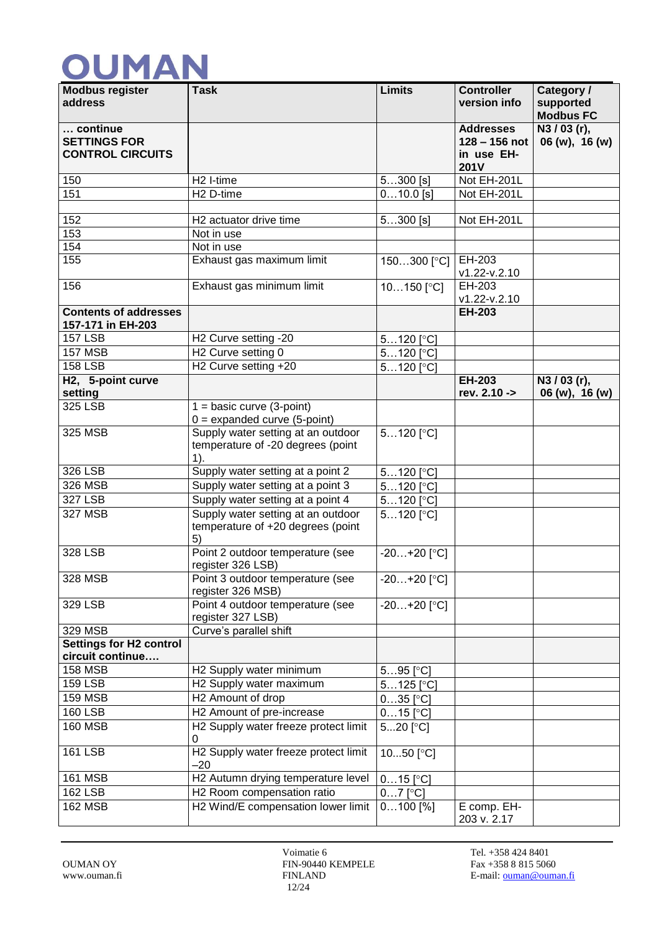| <b>Modbus register</b><br>address                          | <b>Task</b>                                                                       | <b>Limits</b>           | <b>Controller</b><br>version info                                | Category /<br>supported<br><b>Modbus FC</b> |
|------------------------------------------------------------|-----------------------------------------------------------------------------------|-------------------------|------------------------------------------------------------------|---------------------------------------------|
| continue<br><b>SETTINGS FOR</b><br><b>CONTROL CIRCUITS</b> |                                                                                   |                         | <b>Addresses</b><br>$128 - 156$ not<br>in use EH-<br><b>201V</b> | N3 / 03 (r),<br>06 (w), 16 (w)              |
| 150                                                        | H <sub>2</sub> I-time                                                             | $5300$ [s]              | Not EH-201L                                                      |                                             |
| 151                                                        | H <sub>2</sub> D-time                                                             | $\overline{0}$ 10.0 [s] | Not EH-201L                                                      |                                             |
| 152                                                        | H2 actuator drive time                                                            | $\overline{5}300$ [s]   | Not EH-201L                                                      |                                             |
| 153                                                        | Not in use                                                                        |                         |                                                                  |                                             |
| 154                                                        | Not in use                                                                        |                         |                                                                  |                                             |
| 155                                                        | Exhaust gas maximum limit                                                         | 150300 [°C]             | EH-203<br>v1.22-v.2.10                                           |                                             |
| 156                                                        | Exhaust gas minimum limit                                                         | $10150$ [ $^{\circ}$ C] | EH-203<br>v1.22-v.2.10                                           |                                             |
| <b>Contents of addresses</b><br>157-171 in EH-203          |                                                                                   |                         | <b>EH-203</b>                                                    |                                             |
| <b>157 LSB</b>                                             | H <sub>2</sub> Curve setting -20                                                  | $5120$ [ $^{\circ}$ C]  |                                                                  |                                             |
| <b>157 MSB</b>                                             | H <sub>2</sub> Curve setting 0                                                    | $5120$ [ $^{\circ}$ C]  |                                                                  |                                             |
| <b>158 LSB</b>                                             | H2 Curve setting +20                                                              | $5120$ [ $^{\circ}$ C]  |                                                                  |                                             |
| H2, 5-point curve<br>setting                               |                                                                                   |                         | EH-203<br>rev. 2.10 ->                                           | N3 / 03 (r),<br>06 (w), 16 (w)              |
| 325 LSB                                                    | $1 = basic curve (3-point)$                                                       |                         |                                                                  |                                             |
|                                                            | $0 =$ expanded curve (5-point)                                                    |                         |                                                                  |                                             |
| 325 MSB                                                    | Supply water setting at an outdoor<br>temperature of -20 degrees (point<br>$1$ ). | $5120$ [ $^{\circ}$ C]  |                                                                  |                                             |
| 326 LSB                                                    | Supply water setting at a point 2                                                 | $5120$ [ $^{\circ}$ C]  |                                                                  |                                             |
| 326 MSB                                                    | Supply water setting at a point 3                                                 | $5120$ [ $^{\circ}$ C]  |                                                                  |                                             |
| 327 LSB                                                    | Supply water setting at a point 4                                                 | $5120$ [ $^{\circ}$ C]  |                                                                  |                                             |
| 327 MSB                                                    | Supply water setting at an outdoor<br>temperature of +20 degrees (point<br>5)     | $5120$ [°C]             |                                                                  |                                             |
| 328 LSB                                                    | Point 2 outdoor temperature (see<br>register 326 LSB)                             | $-20+20$ [°C]           |                                                                  |                                             |
| <b>328 MSB</b>                                             | Point 3 outdoor temperature (see<br>register 326 MSB)                             | $-20+20$ [°C]           |                                                                  |                                             |
| 329 LSB                                                    | Point 4 outdoor temperature (see<br>register 327 LSB)                             | $-20+20$ [°C]           |                                                                  |                                             |
| 329 MSB                                                    | Curve's parallel shift                                                            |                         |                                                                  |                                             |
| <b>Settings for H2 control</b><br>circuit continue         |                                                                                   |                         |                                                                  |                                             |
| <b>158 MSB</b>                                             | H2 Supply water minimum                                                           | $595$ [ $^{\circ}$ C]   |                                                                  |                                             |
| <b>159 LSB</b>                                             | H2 Supply water maximum                                                           | $5125$ [ $^{\circ}$ C]  |                                                                  |                                             |
| <b>159 MSB</b>                                             | H2 Amount of drop                                                                 | $035$ [ $^{\circ}$ C]   |                                                                  |                                             |
| <b>160 LSB</b>                                             | H2 Amount of pre-increase                                                         | $015$ [°C]              |                                                                  |                                             |
| <b>160 MSB</b>                                             | H2 Supply water freeze protect limit<br>0                                         | $520$ [°C]              |                                                                  |                                             |
| <b>161 LSB</b>                                             | H2 Supply water freeze protect limit<br>-20                                       | 1050 $[°C]$             |                                                                  |                                             |
| <b>161 MSB</b>                                             | H2 Autumn drying temperature level                                                | $015$ [ $^{\circ}$ C]   |                                                                  |                                             |
| <b>162 LSB</b>                                             | H2 Room compensation ratio                                                        | $07$ [°C]               |                                                                  |                                             |
| $\overline{16}$ 2 MSB                                      | H2 Wind/E compensation lower limit                                                | $0100$ [%]              | E comp. EH-<br>203 v. 2.17                                       |                                             |

Voimatie 6 Tel. +358 424 8401<br>FIN-90440 KEMPELE Fax +358 8 815 5060 OUMAN OY FIN-90440 KEMPELE 12/24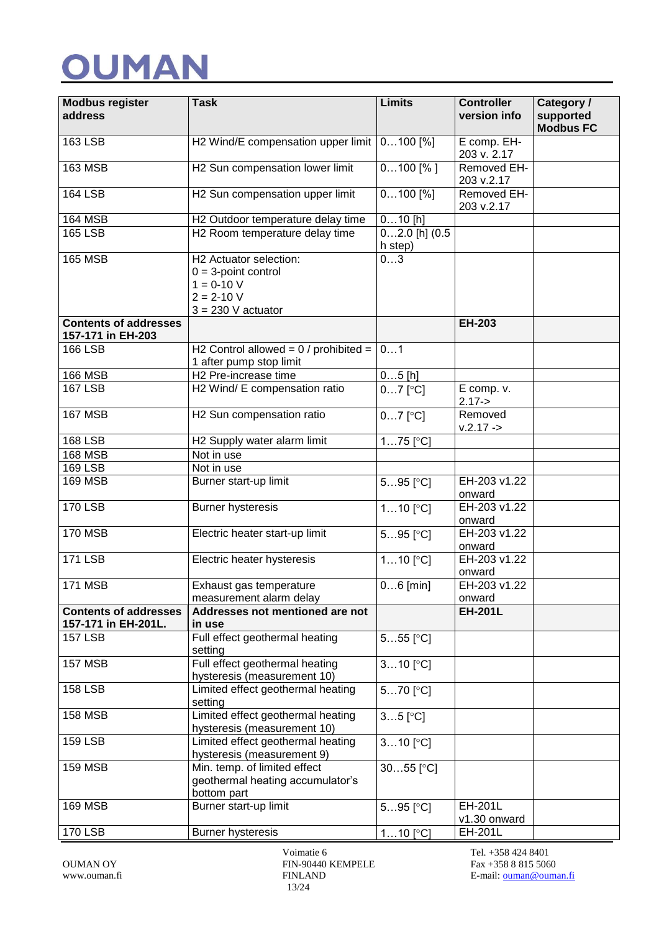| <b>Modbus register</b><br>address                   | <b>Task</b>                                                                                                | <b>Limits</b>                 | <b>Controller</b><br>version info | Category /<br>supported<br><b>Modbus FC</b> |
|-----------------------------------------------------|------------------------------------------------------------------------------------------------------------|-------------------------------|-----------------------------------|---------------------------------------------|
| <b>163 LSB</b>                                      | H2 Wind/E compensation upper limit                                                                         | $0100$ [%]                    | E comp. EH-<br>203 v. 2.17        |                                             |
| $163$ MSB                                           | H2 Sun compensation lower limit                                                                            | $0100$ [%]                    | Removed EH-<br>203 v.2.17         |                                             |
| <b>164 LSB</b>                                      | H2 Sun compensation upper limit                                                                            | $0100$ [%]                    | Removed EH-<br>203 v.2.17         |                                             |
| <b>164 MSB</b>                                      | H2 Outdoor temperature delay time                                                                          | $010$ [h]                     |                                   |                                             |
| <b>165 LSB</b>                                      | H2 Room temperature delay time                                                                             | $02.0$ [h] $(0.5)$<br>h step) |                                   |                                             |
| <b>165 MSB</b>                                      | H2 Actuator selection:<br>$0 = 3$ -point control<br>$1 = 0-10 V$<br>$2 = 2 - 10 V$<br>$3 = 230$ V actuator | 03                            |                                   |                                             |
| <b>Contents of addresses</b><br>157-171 in EH-203   |                                                                                                            |                               | EH-203                            |                                             |
| <b>166 LSB</b>                                      | H2 Control allowed = $0/$ prohibited =<br>1 after pump stop limit                                          | 01                            |                                   |                                             |
| <b>166 MSB</b>                                      | H <sub>2</sub> Pre-increase time                                                                           | $05$ [h]                      |                                   |                                             |
| <b>167 LSB</b>                                      | H2 Wind/ E compensation ratio                                                                              | $07$ [°C]                     | E comp. v.<br>$2.17 - >$          |                                             |
| <b>167 MSB</b>                                      | H2 Sun compensation ratio                                                                                  | $\overline{0}$ 7 [°C]         | Removed<br>$v.2.17 ->$            |                                             |
| <b>168 LSB</b>                                      | H2 Supply water alarm limit                                                                                | $175$ [ $^{\circ}$ C]         |                                   |                                             |
| <b>168 MSB</b>                                      | Not in use                                                                                                 |                               |                                   |                                             |
| <b>169 LSB</b>                                      | Not in use                                                                                                 |                               |                                   |                                             |
| <b>169 MSB</b>                                      | Burner start-up limit                                                                                      | $595$ [ $^{\circ}$ C]         | EH-203 v1.22<br>onward            |                                             |
| <b>170 LSB</b>                                      | <b>Burner hysteresis</b>                                                                                   | $110$ [ $^{\circ}$ C]         | EH-203 v1.22<br>onward            |                                             |
| <b>170 MSB</b>                                      | Electric heater start-up limit                                                                             | $595$ [ $^{\circ}$ C]         | EH-203 v1.22<br>onward            |                                             |
| <b>171 LSB</b>                                      | Electric heater hysteresis                                                                                 | $110$ [ $^{\circ}$ C]         | EH-203 v1.22<br>onward            |                                             |
| <b>171 MSB</b>                                      | Exhaust gas temperature<br>measurement alarm delay                                                         | $06$ [min]                    | EH-203 v1.22<br>onward            |                                             |
| <b>Contents of addresses</b><br>157-171 in EH-201L. | Addresses not mentioned are not<br>in use                                                                  |                               | <b>EH-201L</b>                    |                                             |
| <b>157 LSB</b>                                      | Full effect geothermal heating<br>setting                                                                  | $555$ [ $^{\circ}$ C]         |                                   |                                             |
| <b>157 MSB</b>                                      | Full effect geothermal heating<br>hysteresis (measurement 10)                                              | $310$ [ $^{\circ}$ C]         |                                   |                                             |
| <b>158 LSB</b>                                      | Limited effect geothermal heating<br>setting                                                               | $570$ [ $^{\circ}$ C]         |                                   |                                             |
| <b>158 MSB</b>                                      | Limited effect geothermal heating<br>hysteresis (measurement 10)                                           | $35$ [ $^{\circ}$ C]          |                                   |                                             |
| <b>159 LSB</b>                                      | Limited effect geothermal heating<br>hysteresis (measurement 9)                                            | $\overline{3}10$ [°C]         |                                   |                                             |
| <b>159 MSB</b>                                      | Min. temp. of limited effect<br>geothermal heating accumulator's<br>bottom part                            | $3055$ [ $^{\circ}$ C]        |                                   |                                             |
| <b>169 MSB</b>                                      | Burner start-up limit                                                                                      | $595$ [ $^{\circ}$ C]         | EH-201L<br>v1.30 onward           |                                             |
| <b>170 LSB</b>                                      | <b>Burner hysteresis</b>                                                                                   | $110$ [ $^{\circ}$ C]         | EH-201L                           |                                             |

Voimatie 6 Tel. +358 424 8401 OUMAN OY FIN-90440 KEMPELE Fax +358 8 815 5060 13/24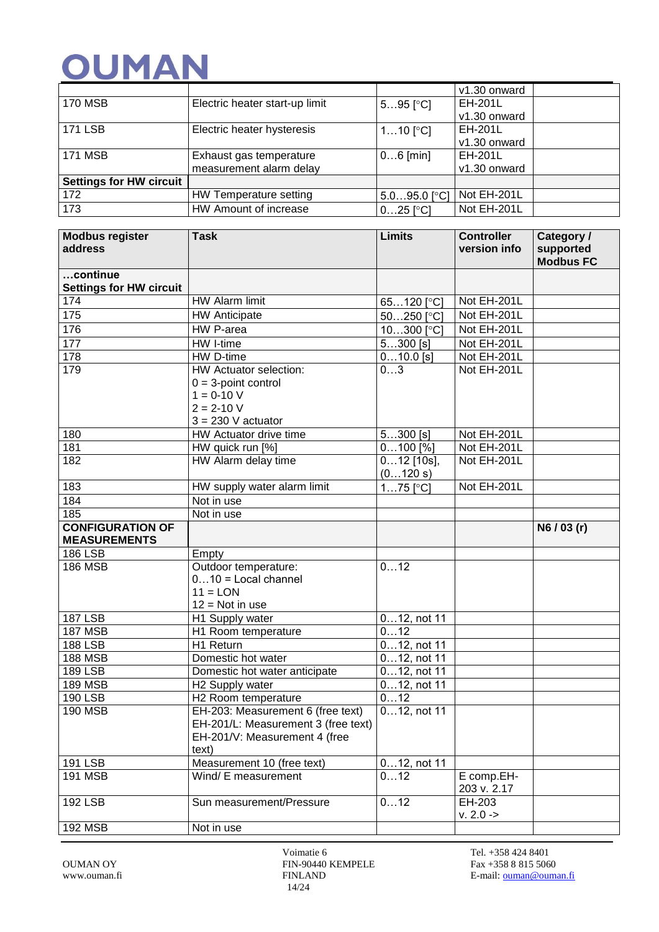|                                |                                |                           | v1.30 onward   |
|--------------------------------|--------------------------------|---------------------------|----------------|
| <b>170 MSB</b>                 | Electric heater start-up limit | $595$ [°C]                | EH-201L        |
|                                |                                |                           | v1.30 onward   |
| <b>171 LSB</b>                 | Electric heater hysteresis     | $110$ [ $^{\circ}$ C]     | <b>EH-201L</b> |
|                                |                                |                           | v1.30 onward   |
| <b>171 MSB</b>                 | Exhaust gas temperature        | $06$ [min]                | <b>EH-201L</b> |
|                                | measurement alarm delay        |                           | v1.30 onward   |
| <b>Settings for HW circuit</b> |                                |                           |                |
| 172                            | HW Temperature setting         | $5.095.0$ [ $^{\circ}$ C] | Not EH-201L    |
| 173                            | HW Amount of increase          | $025$ [ $^{\circ}$ C]     | Not EH-201L    |

| <b>Modbus register</b><br>address | <b>Task</b>                                       | <b>Limits</b>          | <b>Controller</b><br>version info | Category /<br>supported<br><b>Modbus FC</b> |
|-----------------------------------|---------------------------------------------------|------------------------|-----------------------------------|---------------------------------------------|
| continue                          |                                                   |                        |                                   |                                             |
| <b>Settings for HW circuit</b>    |                                                   |                        |                                   |                                             |
| 174                               | HW Alarm limit                                    | 65120 <sup>[°</sup> C] | Not EH-201L                       |                                             |
| 175                               | <b>HW Anticipate</b>                              | 50250 <sup>[°</sup> C] | Not EH-201L                       |                                             |
| 176                               | HW P-area                                         | 10300 [°C]             | Not EH-201L                       |                                             |
| 177                               | HW I-time                                         | $5300$ [s]             | Not EH-201L                       |                                             |
| 178                               | HW D-time                                         | $010.0$ [s]            | Not EH-201L                       |                                             |
| 179                               | HW Actuator selection:                            | 03                     | Not EH-201L                       |                                             |
|                                   | $0 = 3$ -point control                            |                        |                                   |                                             |
|                                   | $1 = 0-10 V$                                      |                        |                                   |                                             |
|                                   | $2 = 2 - 10 V$                                    |                        |                                   |                                             |
|                                   | $3 = 230$ V actuator                              |                        |                                   |                                             |
| 180                               | HW Actuator drive time                            | $\overline{5}$ 300 [s] | Not EH-201L                       |                                             |
| 181                               | HW quick run [%]                                  | $0100$ [%]             | Not EH-201L                       |                                             |
| 182                               | HW Alarm delay time                               | $012$ [10s],           | Not EH-201L                       |                                             |
|                                   |                                                   | (0120 s)               |                                   |                                             |
| 183                               | HW supply water alarm limit                       | $175$ [ $^{\circ}$ C]  | Not EH-201L                       |                                             |
| 184                               | Not in use                                        |                        |                                   |                                             |
| 185                               | Not in use                                        |                        |                                   |                                             |
| <b>CONFIGURATION OF</b>           |                                                   |                        |                                   | N6/03(r)                                    |
| <b>MEASUREMENTS</b>               |                                                   |                        |                                   |                                             |
| <b>186 LSB</b>                    | Empty                                             |                        |                                   |                                             |
| <b>186 MSB</b>                    | Outdoor temperature:                              | 012                    |                                   |                                             |
|                                   | $010$ = Local channel                             |                        |                                   |                                             |
|                                   | $11 = LON$                                        |                        |                                   |                                             |
|                                   | $12 = Not in use$                                 |                        |                                   |                                             |
| <b>187 LSB</b>                    | H1 Supply water                                   | 012, not 11            |                                   |                                             |
| <b>187 MSB</b>                    | H1 Room temperature                               | 012                    |                                   |                                             |
| <b>188 LSB</b>                    | H1 Return                                         | $012$ , not 11         |                                   |                                             |
| <b>188 MSB</b>                    | Domestic hot water                                | 012, not 11            |                                   |                                             |
| <b>189 LSB</b>                    | Domestic hot water anticipate                     | 012, not 11            |                                   |                                             |
| <b>189 MSB</b>                    | H2 Supply water                                   | 012, not 11            |                                   |                                             |
| <b>190 LSB</b>                    | H <sub>2</sub> Room temperature                   | 012                    |                                   |                                             |
| <b>190 MSB</b>                    | EH-203: Measurement 6 (free text)                 | $012$ , not 11         |                                   |                                             |
|                                   | EH-201/L: Measurement 3 (free text)               |                        |                                   |                                             |
|                                   | EH-201/V: Measurement 4 (free                     |                        |                                   |                                             |
| 191 LSB                           | text)                                             |                        |                                   |                                             |
| <b>191 MSB</b>                    | Measurement 10 (free text)<br>Wind/ E measurement | $012$ , not 11<br>012  | E comp.EH-                        |                                             |
|                                   |                                                   |                        | 203 v. 2.17                       |                                             |
| <b>192 LSB</b>                    | Sun measurement/Pressure                          | 012                    | EH-203                            |                                             |
|                                   |                                                   |                        | $v. 2.0 ->$                       |                                             |
| <b>192 MSB</b>                    | Not in use                                        |                        |                                   |                                             |
|                                   |                                                   |                        |                                   |                                             |

Voimatie 6 Tel. +358 424 8401 OUMAN OY FIN-90440 KEMPELE Fax +358 8 815 5060 14/24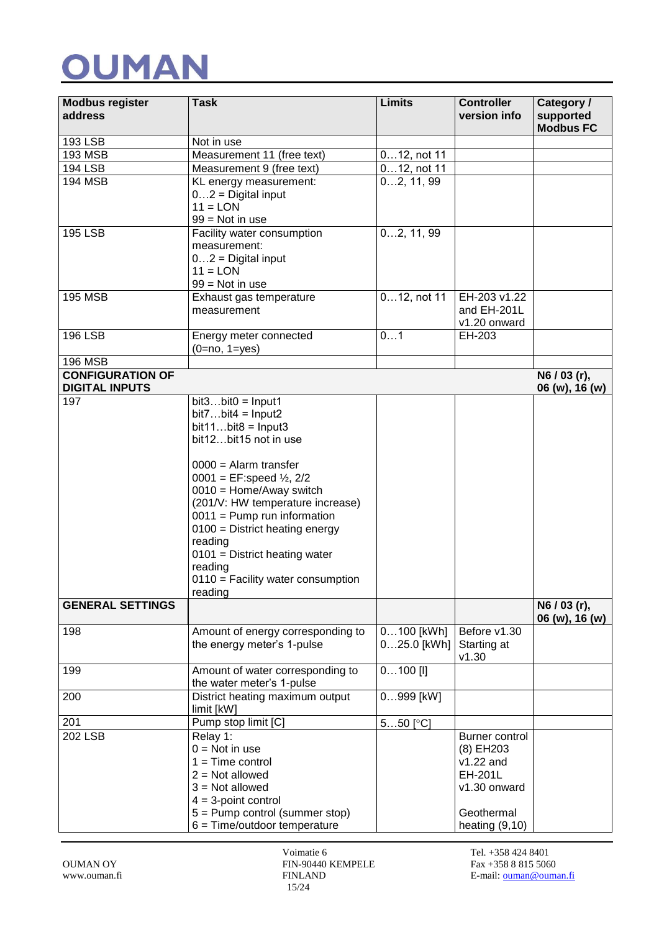| <b>Modbus register</b><br>address                | <b>Task</b>                                                   | <b>Limits</b>         | <b>Controller</b><br>version info | Category /<br>supported<br><b>Modbus FC</b> |
|--------------------------------------------------|---------------------------------------------------------------|-----------------------|-----------------------------------|---------------------------------------------|
| 193 LSB                                          | Not in use                                                    |                       |                                   |                                             |
| <b>193 MSB</b>                                   | Measurement 11 (free text)                                    | $012$ , not 11        |                                   |                                             |
| 194 LSB                                          | Measurement 9 (free text)                                     | $012$ , not 11        |                                   |                                             |
| <b>194 MSB</b>                                   | KL energy measurement:                                        | 02, 11, 99            |                                   |                                             |
|                                                  | $02$ = Digital input                                          |                       |                                   |                                             |
|                                                  | $11 = LON$                                                    |                       |                                   |                                             |
|                                                  | $99 = Not in use$                                             |                       |                                   |                                             |
| <b>195 LSB</b>                                   | Facility water consumption<br>measurement:                    | 02, 11, 99            |                                   |                                             |
|                                                  | $02$ = Digital input                                          |                       |                                   |                                             |
|                                                  | $11 =$ LON                                                    |                       |                                   |                                             |
|                                                  | $99 = Not in use$                                             |                       |                                   |                                             |
| <b>195 MSB</b>                                   | Exhaust gas temperature                                       | $012$ , not 11        | EH-203 v1.22                      |                                             |
|                                                  | measurement                                                   |                       | and EH-201L                       |                                             |
|                                                  |                                                               |                       | v1.20 onward                      |                                             |
| <b>196 LSB</b>                                   | Energy meter connected                                        | 01                    | EH-203                            |                                             |
|                                                  | $(0=no, 1=yes)$                                               |                       |                                   |                                             |
| <b>196 MSB</b>                                   |                                                               |                       |                                   |                                             |
| <b>CONFIGURATION OF</b><br><b>DIGITAL INPUTS</b> |                                                               |                       |                                   | N6 / 03 (r),<br>06 (w), 16 (w)              |
| 197                                              | $bit3bit0 = Input1$                                           |                       |                                   |                                             |
|                                                  | $bit7bit4 = Input2$                                           |                       |                                   |                                             |
|                                                  | $bit11bit8 = Input3$                                          |                       |                                   |                                             |
|                                                  | bit12bit15 not in use                                         |                       |                                   |                                             |
|                                                  | $0000 =$ Alarm transfer                                       |                       |                                   |                                             |
|                                                  | 0001 = EF:speed $\frac{1}{2}$ , 2/2                           |                       |                                   |                                             |
|                                                  | $0010$ = Home/Away switch                                     |                       |                                   |                                             |
|                                                  | (201/V: HW temperature increase)                              |                       |                                   |                                             |
|                                                  | $0011$ = Pump run information                                 |                       |                                   |                                             |
|                                                  | $0100 =$ District heating energy                              |                       |                                   |                                             |
|                                                  | reading                                                       |                       |                                   |                                             |
|                                                  | $0101$ = District heating water                               |                       |                                   |                                             |
|                                                  | reading                                                       |                       |                                   |                                             |
|                                                  | $0110$ = Facility water consumption<br>reading                |                       |                                   |                                             |
| <b>GENERAL SETTINGS</b>                          |                                                               |                       |                                   | N6 / 03 (r),                                |
|                                                  |                                                               |                       |                                   | 06 (w), 16 (w)                              |
| 198                                              | Amount of energy corresponding to                             | 0100 [kWh]            | Before v1.30                      |                                             |
|                                                  | the energy meter's 1-pulse                                    | $025.0$ [kWh]         | Starting at                       |                                             |
|                                                  |                                                               |                       | v1.30                             |                                             |
| 199                                              | Amount of water corresponding to<br>the water meter's 1-pulse | $0100$ [I]            |                                   |                                             |
| 200                                              | District heating maximum output                               | 0999 [kW]             |                                   |                                             |
|                                                  | limit [kW]                                                    |                       |                                   |                                             |
| 201                                              | Pump stop limit [C]                                           | $550$ [ $^{\circ}$ C] |                                   |                                             |
| <b>202 LSB</b>                                   | Relay 1:                                                      |                       | Burner control                    |                                             |
|                                                  | $0 = Not in use$                                              |                       | (8) EH203                         |                                             |
|                                                  | $1 = Time control$                                            |                       | v1.22 and                         |                                             |
|                                                  | $2 = Not allowed$                                             |                       | EH-201L                           |                                             |
|                                                  | $3 = Not allowed$<br>$4 = 3$ -point control                   |                       | v1.30 onward                      |                                             |
|                                                  | 5 = Pump control (summer stop)                                |                       | Geothermal                        |                                             |
|                                                  | $6 = Time/outdoor$ temperature                                |                       | heating $(9,10)$                  |                                             |

Voimatie 6 Tel. +358 424 8401 OUMAN OY FIN-90440 KEMPELE Fax +358 8 815 5060 15/24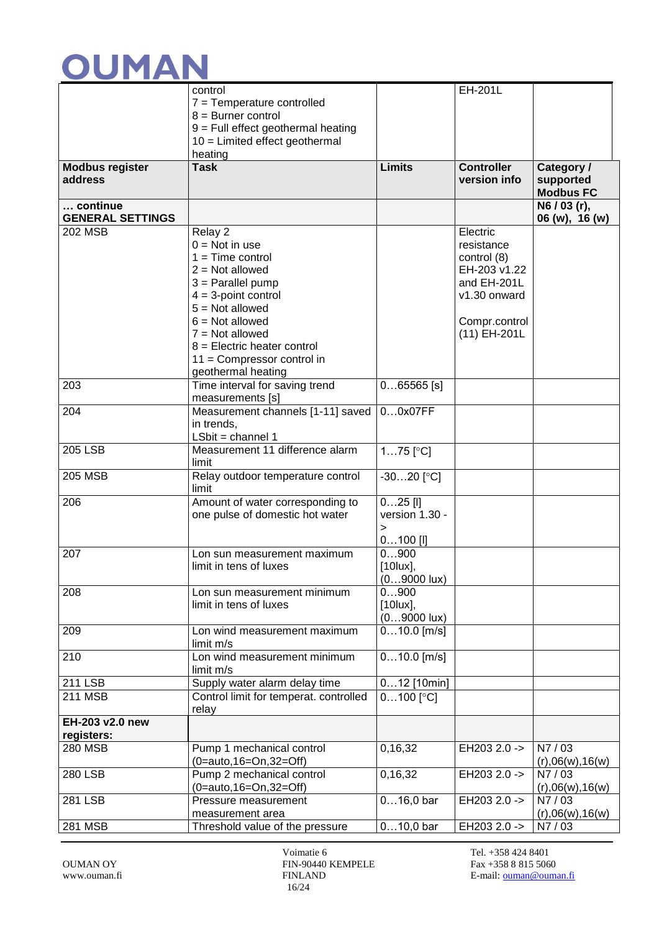

|                         | control                                                 |                       | <b>EH-201L</b>    |                           |
|-------------------------|---------------------------------------------------------|-----------------------|-------------------|---------------------------|
|                         | $7 =$ Temperature controlled                            |                       |                   |                           |
|                         | $8 =$ Burner control                                    |                       |                   |                           |
|                         | $9$ = Full effect geothermal heating                    |                       |                   |                           |
|                         | $10 =$ Limited effect geothermal                        |                       |                   |                           |
|                         | heating                                                 |                       |                   |                           |
| <b>Modbus register</b>  | <b>Task</b>                                             | <b>Limits</b>         | <b>Controller</b> | Category /                |
| address                 |                                                         |                       | version info      | supported                 |
|                         |                                                         |                       |                   | <b>Modbus FC</b>          |
| continue                |                                                         |                       |                   | $\overline{N6}$ / 03 (r), |
| <b>GENERAL SETTINGS</b> |                                                         |                       |                   | 06 (w), 16 (w)            |
| <b>202 MSB</b>          | Relay 2                                                 |                       | Electric          |                           |
|                         | $0 = Not in use$                                        |                       | resistance        |                           |
|                         | $1 = Time control$                                      |                       | control (8)       |                           |
|                         | $2 = Not allowed$                                       |                       | EH-203 v1.22      |                           |
|                         | $3$ = Parallel pump                                     |                       | and EH-201L       |                           |
|                         | $4 = 3$ -point control                                  |                       | v1.30 onward      |                           |
|                         | $5 = Not allowed$                                       |                       |                   |                           |
|                         | $6 = Not allowed$                                       |                       | Compr.control     |                           |
|                         | $7 = Not allowed$                                       |                       | (11) EH-201L      |                           |
|                         | $8$ = Electric heater control                           |                       |                   |                           |
|                         | $11 =$ Compressor control in                            |                       |                   |                           |
|                         | geothermal heating                                      |                       |                   |                           |
| 203                     | Time interval for saving trend                          | $065565$ [s]          |                   |                           |
|                         | measurements [s]                                        |                       |                   |                           |
| 204                     | Measurement channels [1-11] saved                       | 00x07FF               |                   |                           |
|                         | in trends,                                              |                       |                   |                           |
| <b>205 LSB</b>          | $LSbit = channel 1$<br>Measurement 11 difference alarm  |                       |                   |                           |
|                         | limit                                                   | $175$ [ $^{\circ}$ C] |                   |                           |
| <b>205 MSB</b>          | Relay outdoor temperature control                       | $-3020$ [°C]          |                   |                           |
|                         | limit                                                   |                       |                   |                           |
| 206                     | Amount of water corresponding to                        | $025$ [I]             |                   |                           |
|                         | one pulse of domestic hot water                         | version 1.30 -        |                   |                           |
|                         |                                                         | >                     |                   |                           |
|                         |                                                         | $0100$ [I]            |                   |                           |
| 207                     | Lon sun measurement maximum                             | 0900                  |                   |                           |
|                         | limit in tens of luxes                                  | $[10$ lux],           |                   |                           |
|                         |                                                         | $(09000 \text{ lux})$ |                   |                           |
| 208                     | Lon sun measurement minimum                             | 0900                  |                   |                           |
|                         | limit in tens of luxes                                  | $[10$ lux],           |                   |                           |
|                         |                                                         | $(09000 \text{ lux})$ |                   |                           |
| 209                     | Lon wind measurement maximum                            | $010.0$ [m/s]         |                   |                           |
|                         | limit m/s                                               |                       |                   |                           |
| 210                     | Lon wind measurement minimum                            | $010.0$ [m/s]         |                   |                           |
|                         | limit m/s                                               |                       |                   |                           |
| 211 LSB                 | Supply water alarm delay time                           | $012$ [10min]         |                   |                           |
| 211 MSB                 | Control limit for temperat. controlled                  | $0100$ [°C]           |                   |                           |
|                         | relay                                                   |                       |                   |                           |
| EH-203 v2.0 new         |                                                         |                       |                   |                           |
| registers:              |                                                         |                       |                   |                           |
| 280 MSB                 | Pump 1 mechanical control                               | 0,16,32               | EH203 2.0 ->      | N7/03                     |
|                         | $(0 = auto, 16 = On, 32 = Off)$                         |                       |                   | (r),06(w),16(w)           |
| <b>280 LSB</b>          | Pump 2 mechanical control                               | 0,16,32               | EH203 2.0 ->      | N7/03                     |
| 281 LSB                 | $(0 = auto, 16 = On, 32 = Off)$<br>Pressure measurement | $016,0$ bar           | EH203 2.0 ->      | (r),06(w),16(w)<br>N7/03  |
|                         | measurement area                                        |                       |                   | (r),06(w),16(w)           |
| 281 MSB                 | Threshold value of the pressure                         | $010,0$ bar           | EH203 2.0 ->      | N7/03                     |
|                         |                                                         |                       |                   |                           |

Voimatie 6 Tel. +358 424 8401 OUMAN OY FIN-90440 KEMPELE Fax +358 8 815 5060 16/24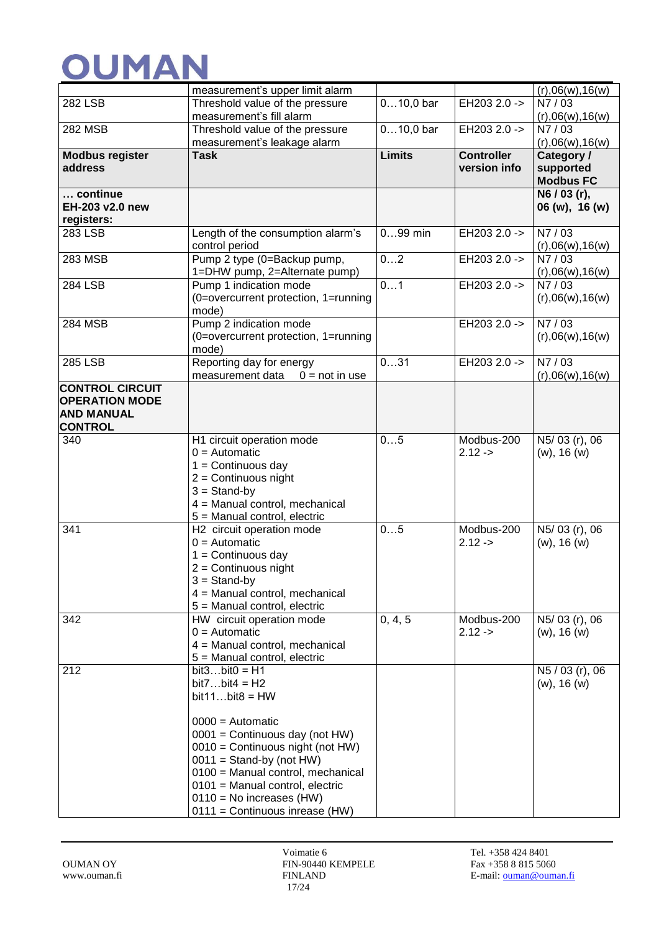|                                            | measurement's upper limit alarm                              |               |                                   | (r),06(w),16(w)                   |
|--------------------------------------------|--------------------------------------------------------------|---------------|-----------------------------------|-----------------------------------|
| <b>282 LSB</b>                             | Threshold value of the pressure                              | $010,0$ bar   | EH203 2.0 ->                      | N7/03                             |
|                                            | measurement's fill alarm                                     |               |                                   | (r),06(w),16(w)                   |
| <b>282 MSB</b>                             | Threshold value of the pressure                              | $010,0$ bar   | EH203 2.0 ->                      | N7/03                             |
|                                            | measurement's leakage alarm                                  |               |                                   | (r),06(w),16(w)                   |
| <b>Modbus register</b><br>address          | <b>Task</b>                                                  | <b>Limits</b> | <b>Controller</b><br>version info | Category /<br>supported           |
|                                            |                                                              |               |                                   | <b>Modbus FC</b>                  |
| continue                                   |                                                              |               |                                   | $\overline{\text{N6}}$ / 03 (r),  |
| EH-203 v2.0 new                            |                                                              |               |                                   | 06 (w), 16 (w)                    |
| registers:                                 |                                                              |               |                                   |                                   |
| 283 LSB                                    | Length of the consumption alarm's                            | $099$ min     | EH203 2.0 ->                      | N7/03                             |
|                                            | control period                                               |               |                                   | (r),06(w),16(w)                   |
| 283 MSB                                    | Pump 2 type (0=Backup pump,                                  | 02            | EH203 2.0 ->                      | N7/03                             |
| <b>284 LSB</b>                             | 1=DHW pump, 2=Alternate pump)<br>Pump 1 indication mode      | 01            | EH203 2.0 ->                      | (r),06(w),16(w)<br>N7/03          |
|                                            | (0=overcurrent protection, 1=running                         |               |                                   | (r),06(w),16(w)                   |
|                                            | mode)                                                        |               |                                   |                                   |
| <b>284 MSB</b>                             | Pump 2 indication mode                                       |               | EH203 2.0 ->                      | N7/03                             |
|                                            | (0=overcurrent protection, 1=running                         |               |                                   | (r),06(w),16(w)                   |
|                                            | mode)                                                        |               |                                   |                                   |
| 285 LSB                                    | Reporting day for energy                                     | 031           | EH203 2.0 ->                      | N7/03                             |
|                                            | measurement data<br>$0 = not in use$                         |               |                                   | (r),06(w),16(w)                   |
| <b>CONTROL CIRCUIT</b>                     |                                                              |               |                                   |                                   |
| <b>OPERATION MODE</b><br><b>AND MANUAL</b> |                                                              |               |                                   |                                   |
| <b>CONTROL</b>                             |                                                              |               |                                   |                                   |
| 340                                        | H1 circuit operation mode                                    | 05            | Modbus-200                        | N5/03 (r), 06                     |
|                                            | $0 =$ Automatic                                              |               | $2.12 -$                          | $(w)$ , 16 $(w)$                  |
|                                            | $1 =$ Continuous day                                         |               |                                   |                                   |
|                                            | $2 =$ Continuous night                                       |               |                                   |                                   |
|                                            | $3 =$ Stand-by                                               |               |                                   |                                   |
|                                            | 4 = Manual control, mechanical                               |               |                                   |                                   |
|                                            | 5 = Manual control, electric                                 |               |                                   |                                   |
| 341                                        | H2 circuit operation mode<br>$0 =$ Automatic                 | 05            | Modbus-200<br>$2.12 - 5$          | N5/03 (r), 06<br>$(w)$ , 16 $(w)$ |
|                                            | $1 =$ Continuous day                                         |               |                                   |                                   |
|                                            | $2 =$ Continuous night                                       |               |                                   |                                   |
|                                            | $3 =$ Stand-by                                               |               |                                   |                                   |
|                                            | 4 = Manual control, mechanical                               |               |                                   |                                   |
|                                            | 5 = Manual control, electric                                 |               |                                   |                                   |
| 342                                        | HW circuit operation mode                                    | 0, 4, 5       | Modbus-200                        | N5/03 (r), 06                     |
|                                            | $0 =$ Automatic                                              |               | $2.12 - 5$                        | $(w)$ , 16 $(w)$                  |
|                                            | 4 = Manual control, mechanical                               |               |                                   |                                   |
| 212                                        | 5 = Manual control, electric<br>$bit3bit0 = H1$              |               |                                   | N5 / 03 (r), 06                   |
|                                            | $bit7bit4 = H2$                                              |               |                                   | $(w)$ , 16 $(w)$                  |
|                                            | $bit11bit8 = HW$                                             |               |                                   |                                   |
|                                            |                                                              |               |                                   |                                   |
|                                            | $0000 =$ Automatic                                           |               |                                   |                                   |
|                                            | $0001$ = Continuous day (not HW)                             |               |                                   |                                   |
|                                            | 0010 = Continuous night (not HW)                             |               |                                   |                                   |
|                                            | $0011 =$ Stand-by (not HW)                                   |               |                                   |                                   |
|                                            | 0100 = Manual control, mechanical                            |               |                                   |                                   |
|                                            | 0101 = Manual control, electric                              |               |                                   |                                   |
|                                            | $0110$ = No increases (HW)<br>0111 = Continuous inrease (HW) |               |                                   |                                   |
|                                            |                                                              |               |                                   |                                   |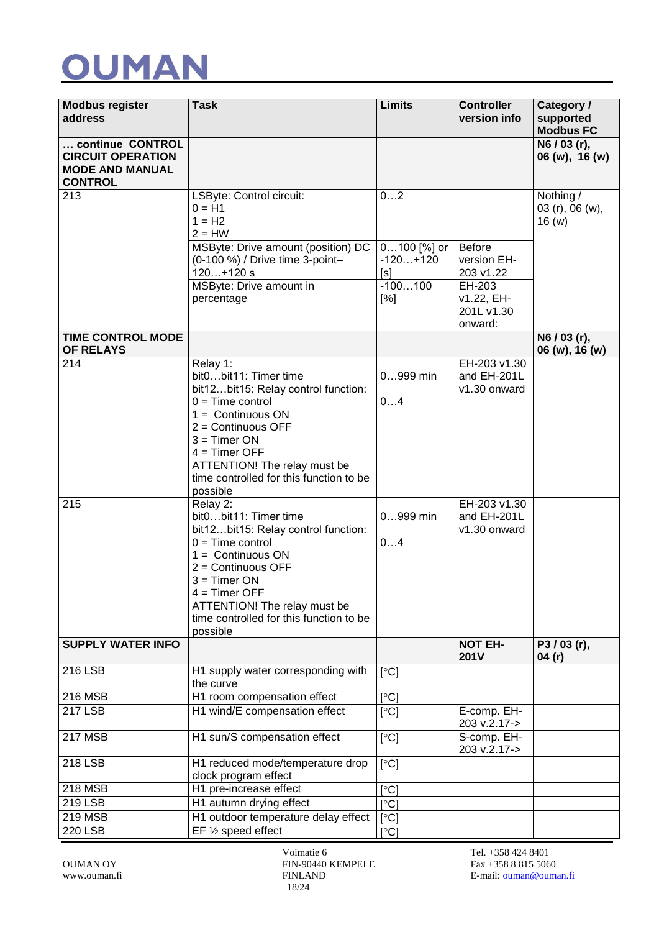

| <b>Modbus register</b><br>address                                                        | <b>Task</b>                                                                                                                                                                                                                                                                                                                                                                                                                                                                                                                                            | Limits                                | <b>Controller</b><br>version info                                                          | Category /<br>supported<br><b>Modbus FC</b> |
|------------------------------------------------------------------------------------------|--------------------------------------------------------------------------------------------------------------------------------------------------------------------------------------------------------------------------------------------------------------------------------------------------------------------------------------------------------------------------------------------------------------------------------------------------------------------------------------------------------------------------------------------------------|---------------------------------------|--------------------------------------------------------------------------------------------|---------------------------------------------|
| continue CONTROL<br><b>CIRCUIT OPERATION</b><br><b>MODE AND MANUAL</b><br><b>CONTROL</b> |                                                                                                                                                                                                                                                                                                                                                                                                                                                                                                                                                        |                                       |                                                                                            | N6 / 03 (r),<br>06 (w), 16 (w)              |
| 213                                                                                      | LSByte: Control circuit:<br>$0 = H1$<br>$1 = H2$<br>$2 = HW$<br>MSByte: Drive amount (position) DC                                                                                                                                                                                                                                                                                                                                                                                                                                                     | 02<br>0100 [%] or                     | Before                                                                                     | Nothing /<br>03 (r), 06 (w),<br>16(w)       |
|                                                                                          | (0-100 %) / Drive time 3-point-<br>$120+120$ s<br>MSByte: Drive amount in<br>percentage                                                                                                                                                                                                                                                                                                                                                                                                                                                                | $-120+120$<br>[s]<br>$-100100$<br>[%] | version EH-<br>203 v1.22<br>EH-203<br>v1.22, EH-<br>201L v1.30<br>onward:                  |                                             |
| <b>TIME CONTROL MODE</b><br>OF RELAYS                                                    |                                                                                                                                                                                                                                                                                                                                                                                                                                                                                                                                                        |                                       |                                                                                            | $\overline{N6 / 03}$ (r),                   |
| 214<br>215                                                                               | Relay 1:<br>bit0bit11: Timer time<br>bit12bit15: Relay control function:<br>$0 = Time$ control<br>$1 =$ Continuous ON<br>$2 =$ Continuous OFF<br>$3 =$ Timer ON<br>$4 =$ Timer OFF<br>ATTENTION! The relay must be<br>time controlled for this function to be<br>possible<br>Relay 2:<br>bit0bit11: Timer time<br>bit12bit15: Relay control function:<br>$0 = Time$ control<br>$1 =$ Continuous ON<br>$2 =$ Continuous OFF<br>$3 =$ Timer ON<br>$4 =$ Timer OFF<br>ATTENTION! The relay must be<br>time controlled for this function to be<br>possible | $0999$ min<br>04<br>0999 min<br>04    | EH-203 v1.30<br>and EH-201L<br>v1.30 onward<br>EH-203 v1.30<br>and EH-201L<br>v1.30 onward | 06 (w), 16 (w)                              |
| <b>SUPPLY WATER INFO</b>                                                                 |                                                                                                                                                                                                                                                                                                                                                                                                                                                                                                                                                        |                                       | <b>NOT EH-</b><br>201V                                                                     | P3/03(r),<br>04(r)                          |
| <b>216 LSB</b>                                                                           | H1 supply water corresponding with<br>the curve                                                                                                                                                                                                                                                                                                                                                                                                                                                                                                        | [°C]                                  |                                                                                            |                                             |
| 216 MSB                                                                                  | H1 room compensation effect                                                                                                                                                                                                                                                                                                                                                                                                                                                                                                                            | [°C]                                  |                                                                                            |                                             |
| <b>217 LSB</b>                                                                           | H1 wind/E compensation effect                                                                                                                                                                                                                                                                                                                                                                                                                                                                                                                          | [°C]                                  | E-comp. EH-<br>203 v.2.17->                                                                |                                             |
| $217 \overline{\text{MSB}}$                                                              | H1 sun/S compensation effect                                                                                                                                                                                                                                                                                                                                                                                                                                                                                                                           | [°C]                                  | S-comp. EH-<br>203 v.2.17->                                                                |                                             |
| <b>218 LSB</b>                                                                           | H1 reduced mode/temperature drop<br>clock program effect                                                                                                                                                                                                                                                                                                                                                                                                                                                                                               | [°C]                                  |                                                                                            |                                             |
| 218 MSB                                                                                  | H1 pre-increase effect                                                                                                                                                                                                                                                                                                                                                                                                                                                                                                                                 | [°C]                                  |                                                                                            |                                             |
| 219 LSB                                                                                  | H1 autumn drying effect                                                                                                                                                                                                                                                                                                                                                                                                                                                                                                                                | $\lceil \circ C \rceil$               |                                                                                            |                                             |
| 219 MSB                                                                                  | H1 outdoor temperature delay effect                                                                                                                                                                                                                                                                                                                                                                                                                                                                                                                    | [°C]                                  |                                                                                            |                                             |
| <b>220 LSB</b>                                                                           | EF 1/2 speed effect                                                                                                                                                                                                                                                                                                                                                                                                                                                                                                                                    | [°C]                                  |                                                                                            |                                             |

Voimatie 6 Tel. +358 424 8401 OUMAN OY FIN-90440 KEMPELE Fax +358 8 815 5060 18/24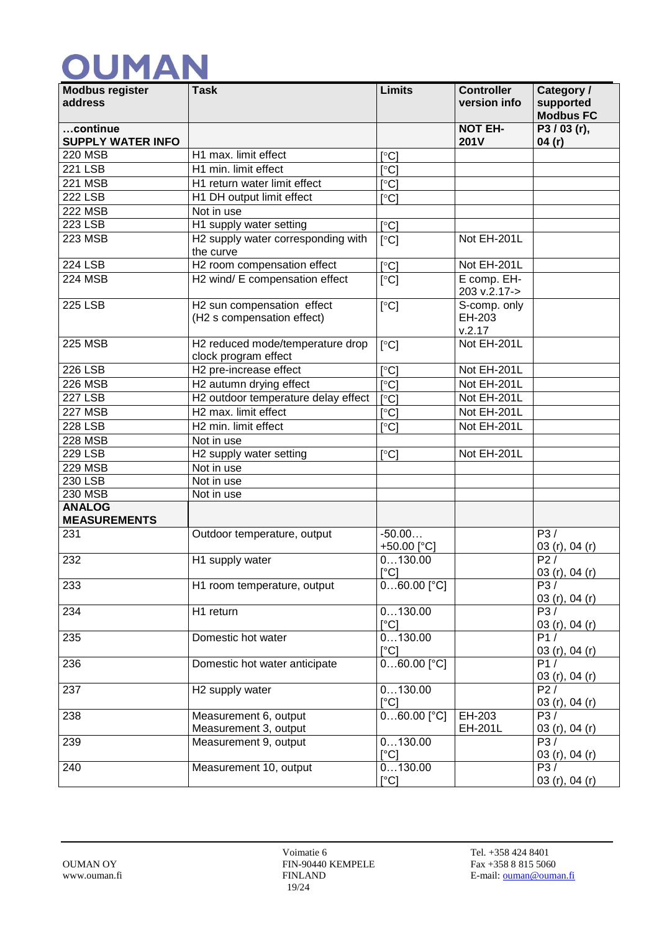| <b>Modbus register</b><br>address    | <b>Task</b>                                              | <b>Limits</b>                | <b>Controller</b><br>version info | Category /<br>supported<br><b>Modbus FC</b> |
|--------------------------------------|----------------------------------------------------------|------------------------------|-----------------------------------|---------------------------------------------|
| continue<br><b>SUPPLY WATER INFO</b> |                                                          |                              | <b>NOT EH-</b><br><b>201V</b>     | P3/03(r),<br>04(r)                          |
| <b>220 MSB</b>                       | H1 max. limit effect                                     | $\lceil$ °C                  |                                   |                                             |
| <b>221 LSB</b>                       | H1 min. limit effect                                     | $\mathsf{C}^{\circ}$         |                                   |                                             |
| <b>221 MSB</b>                       | H <sub>1</sub> return water limit effect                 | $\mathsf{I}^\circ\mathsf{C}$ |                                   |                                             |
| <b>222 LSB</b>                       | H1 DH output limit effect                                | $\lceil$ °Cl                 |                                   |                                             |
| <b>222 MSB</b>                       | Not in use                                               |                              |                                   |                                             |
| 223 LSB                              | H1 supply water setting                                  | $\lceil$ °C]                 |                                   |                                             |
| <b>223 MSB</b>                       | H2 supply water corresponding with<br>the curve          | $\lceil$ °C]                 | Not EH-201L                       |                                             |
| <b>224 LSB</b>                       | H2 room compensation effect                              | $\lceil \circ C \rceil$      | Not EH-201L                       |                                             |
| <b>224 MSB</b>                       | H2 wind/ E compensation effect                           | [°C]                         | E comp. EH-<br>203 v.2.17->       |                                             |
| <b>225 LSB</b>                       | H2 sun compensation effect<br>(H2 s compensation effect) | [°C]                         | S-comp. only<br>EH-203<br>v.2.17  |                                             |
| <b>225 MSB</b>                       | H2 reduced mode/temperature drop<br>clock program effect | $\lceil$ <sup>o</sup> Cl     | Not EH-201L                       |                                             |
| <b>226 LSB</b>                       | H2 pre-increase effect                                   | $\lceil$ °Cl                 | Not EH-201L                       |                                             |
| <b>226 MSB</b>                       | H2 autumn drying effect                                  | $\lceil$ °C]                 | Not EH-201L                       |                                             |
| <b>227 LSB</b>                       | H2 outdoor temperature delay effect                      | $\lceil$ °C                  | Not EH-201L                       |                                             |
| <b>227 MSB</b>                       | H <sub>2</sub> max. limit effect                         | $\lceil \text{°C} \rceil$    | Not EH-201L                       |                                             |
| <b>228 LSB</b>                       | H2 min. limit effect                                     | $\lceil$ °C                  | Not EH-201L                       |                                             |
| <b>228 MSB</b>                       | Not in use                                               |                              |                                   |                                             |
| <b>229 LSB</b>                       | H2 supply water setting                                  | $\lceil$ °C]                 | Not EH-201L                       |                                             |
| <b>229 MSB</b>                       | Not in use                                               |                              |                                   |                                             |
| 230 LSB                              | Not in use                                               |                              |                                   |                                             |
| 230 MSB                              | Not in use                                               |                              |                                   |                                             |
| <b>ANALOG</b><br><b>MEASUREMENTS</b> |                                                          |                              |                                   |                                             |
| 231                                  | Outdoor temperature, output                              | $-50.00$<br>+50.00 [°C]      |                                   | P3/<br>03 (r), 04 (r)                       |
| 232                                  | H1 supply water                                          | 0130.00<br>[°C]              |                                   | P2/<br>03 (r), 04 (r)                       |
| 233                                  | H1 room temperature, output                              | $060.00$ [°C]                |                                   | P3/<br>03 (r), 04 (r)                       |
| 234                                  | H1 return                                                | 0130.00<br>$\lceil$ °Cl      |                                   | P3/<br>03 $(r)$ , 04 $(r)$                  |
| 235                                  | Domestic hot water                                       | 0130.00<br>$\lceil$ °C]      |                                   | P1/<br>03 (r), 04 (r)                       |
| 236                                  | Domestic hot water anticipate                            | $060.00$ [°C]                |                                   | $\overline{P1/}$<br>03 (r), 04 (r)          |
| 237                                  | H <sub>2</sub> supply water                              | 0130.00<br>$\lceil$ °C]      |                                   | P2/<br>03 (r), 04 (r)                       |
| 238                                  | Measurement 6, output<br>Measurement 3, output           | $060.00$ [°C]                | EH-203<br>EH-201L                 | P3/<br>03 (r), 04 (r)                       |
| 239                                  | Measurement 9, output                                    | 0130.00<br>$\lceil$ °C]      |                                   | P3/<br>03 (r), 04 (r)                       |
| 240                                  | Measurement 10, output                                   | 0130.00<br>[°C]              |                                   | P3/<br>03 (r), 04 (r)                       |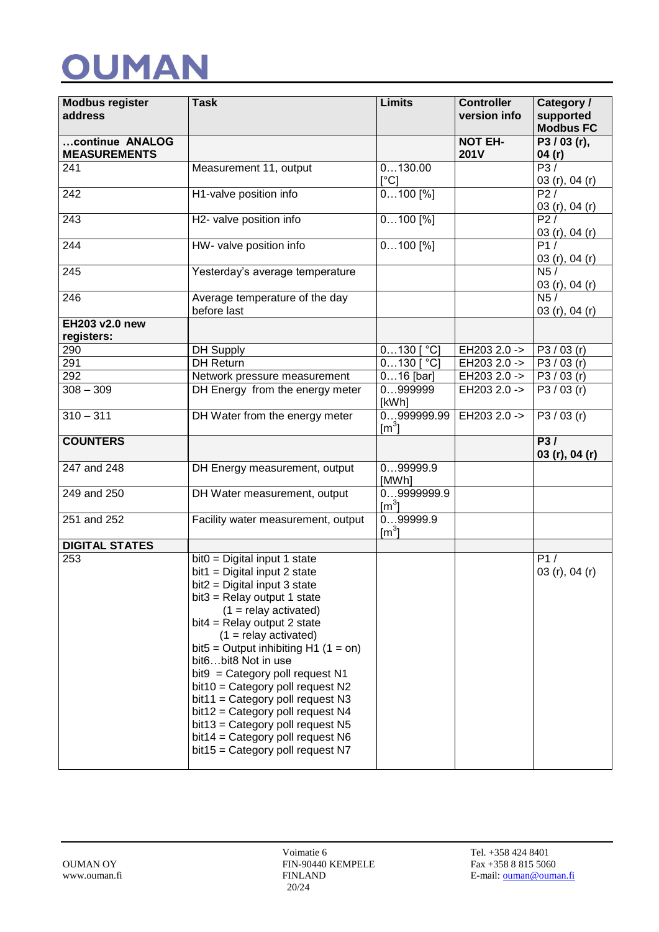| <b>Modbus register</b><br>address | <b>Task</b>                                                                                                                                                                                                                                                                                                                                                                                                                                                                                                                                                        | <b>Limits</b>                           | <b>Controller</b>            | Category /                    |
|-----------------------------------|--------------------------------------------------------------------------------------------------------------------------------------------------------------------------------------------------------------------------------------------------------------------------------------------------------------------------------------------------------------------------------------------------------------------------------------------------------------------------------------------------------------------------------------------------------------------|-----------------------------------------|------------------------------|-------------------------------|
|                                   |                                                                                                                                                                                                                                                                                                                                                                                                                                                                                                                                                                    |                                         | version info                 | supported<br><b>Modbus FC</b> |
| continue ANALOG                   |                                                                                                                                                                                                                                                                                                                                                                                                                                                                                                                                                                    |                                         | <b>NOT EH-</b>               | P3/03(r),                     |
| <b>MEASUREMENTS</b>               |                                                                                                                                                                                                                                                                                                                                                                                                                                                                                                                                                                    |                                         | 201V                         | 04(r)<br>P3/                  |
| 241                               | Measurement 11, output                                                                                                                                                                                                                                                                                                                                                                                                                                                                                                                                             | 0130.00<br>$\lceil$ °C]                 |                              | 03 (r), 04 (r)                |
| 242                               | H1-valve position info                                                                                                                                                                                                                                                                                                                                                                                                                                                                                                                                             | $0100$ [%]                              |                              | P2/                           |
|                                   |                                                                                                                                                                                                                                                                                                                                                                                                                                                                                                                                                                    |                                         |                              | 03 (r), 04 (r)                |
| 243                               | H2- valve position info                                                                                                                                                                                                                                                                                                                                                                                                                                                                                                                                            | $0100$ [%]                              |                              | P27                           |
| 244                               | HW- valve position info                                                                                                                                                                                                                                                                                                                                                                                                                                                                                                                                            | $0100$ [%]                              |                              | 03 (r), 04 (r)<br>P1/         |
|                                   |                                                                                                                                                                                                                                                                                                                                                                                                                                                                                                                                                                    |                                         |                              | 03 (r), 04 (r)                |
| 245                               | Yesterday's average temperature                                                                                                                                                                                                                                                                                                                                                                                                                                                                                                                                    |                                         |                              | N5/<br>03 (r), 04 (r)         |
| 246                               | Average temperature of the day<br>before last                                                                                                                                                                                                                                                                                                                                                                                                                                                                                                                      |                                         |                              | N5/<br>03 $(r)$ , 04 $(r)$    |
| EH203 v2.0 new                    |                                                                                                                                                                                                                                                                                                                                                                                                                                                                                                                                                                    |                                         |                              |                               |
| registers:                        |                                                                                                                                                                                                                                                                                                                                                                                                                                                                                                                                                                    |                                         |                              |                               |
| 290                               | <b>DH Supply</b>                                                                                                                                                                                                                                                                                                                                                                                                                                                                                                                                                   | $0130$ $\sqrt[\circ]{C}$                | EH203 2.0 ->                 | P3 / 03 (r)                   |
| 291                               | <b>DH Return</b>                                                                                                                                                                                                                                                                                                                                                                                                                                                                                                                                                   | $0130$ [ $^{\circ}$ C]                  | EH203 2.0 ->                 | P3 / 03 (r)                   |
| 292<br>$308 - 309$                | Network pressure measurement<br>DH Energy from the energy meter                                                                                                                                                                                                                                                                                                                                                                                                                                                                                                    | $016$ [bar]<br>0999999                  | EH203 2.0 -><br>EH203 2.0 -> | P3 / 03 (r)<br>P3 / 03 (r)    |
|                                   |                                                                                                                                                                                                                                                                                                                                                                                                                                                                                                                                                                    | [kWh]                                   |                              |                               |
| $310 - 311$                       | DH Water from the energy meter                                                                                                                                                                                                                                                                                                                                                                                                                                                                                                                                     | 0999999.99<br>$\text{[m}^3\text{]}$     | EH203 2.0 ->                 | P3/03(r)                      |
| <b>COUNTERS</b>                   |                                                                                                                                                                                                                                                                                                                                                                                                                                                                                                                                                                    |                                         |                              | P3/<br>03 (r), 04 (r)         |
| 247 and 248                       | DH Energy measurement, output                                                                                                                                                                                                                                                                                                                                                                                                                                                                                                                                      | 099999.9<br>[MWh]                       |                              |                               |
| 249 and 250                       | DH Water measurement, output                                                                                                                                                                                                                                                                                                                                                                                                                                                                                                                                       | 09999999.9<br>$\left[\text{m}^3\right]$ |                              |                               |
| 251 and 252                       | Facility water measurement, output                                                                                                                                                                                                                                                                                                                                                                                                                                                                                                                                 | 099999.9<br>$\text{Im}^3$               |                              |                               |
| <b>DIGITAL STATES</b>             |                                                                                                                                                                                                                                                                                                                                                                                                                                                                                                                                                                    |                                         |                              |                               |
| 253                               | $bit0 = Digital input 1 state$<br>$bit1 = Digital input 2 state$<br>$bit2 = Digital input 3 state$<br>$bit3 =$ Relay output 1 state<br>$(1 =$ relay activated)<br>$bit4 = Relay output 2 state$<br>$(1 =$ relay activated)<br>bit5 = Output inhibiting H1 $(1 = on)$<br>bit6bit8 Not in use<br>$bit9 = Category$ poll request N1<br>$bit10 = Category$ poll request N2<br>$bit11 = Category$ poll request N3<br>$bit12 = Category$ poll request N4<br>$bit13 = Category$ poll request N5<br>$bit14 = Category$ poll request N6<br>bit15 = Category poll request N7 |                                         |                              | P1/<br>03 (r), 04 (r)         |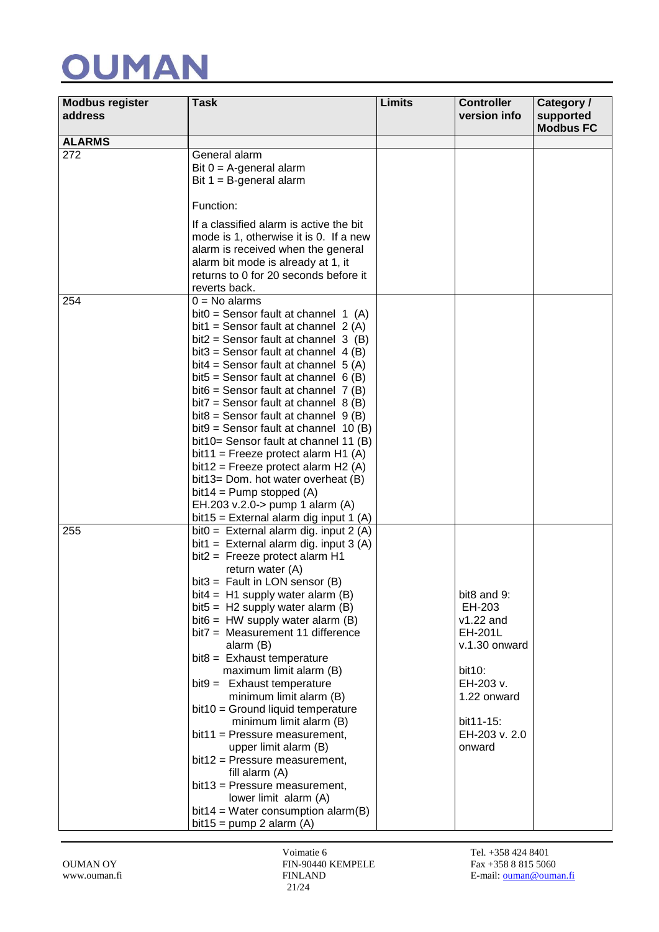| <b>Modbus register</b><br>address | Task                                                                                                                                                                                                                                                                                                                                                                                                                                                                                                                                                                                                                                                                                                                                                                                                                            | Limits | <b>Controller</b><br>version info                                                                                                              | Category /<br>supported<br><b>Modbus FC</b> |
|-----------------------------------|---------------------------------------------------------------------------------------------------------------------------------------------------------------------------------------------------------------------------------------------------------------------------------------------------------------------------------------------------------------------------------------------------------------------------------------------------------------------------------------------------------------------------------------------------------------------------------------------------------------------------------------------------------------------------------------------------------------------------------------------------------------------------------------------------------------------------------|--------|------------------------------------------------------------------------------------------------------------------------------------------------|---------------------------------------------|
| <b>ALARMS</b>                     |                                                                                                                                                                                                                                                                                                                                                                                                                                                                                                                                                                                                                                                                                                                                                                                                                                 |        |                                                                                                                                                |                                             |
| 272                               | General alarm<br>Bit $0 = A$ -general alarm<br>Bit $1 = B$ -general alarm                                                                                                                                                                                                                                                                                                                                                                                                                                                                                                                                                                                                                                                                                                                                                       |        |                                                                                                                                                |                                             |
|                                   | Function:                                                                                                                                                                                                                                                                                                                                                                                                                                                                                                                                                                                                                                                                                                                                                                                                                       |        |                                                                                                                                                |                                             |
|                                   | If a classified alarm is active the bit<br>mode is 1, otherwise it is 0. If a new<br>alarm is received when the general<br>alarm bit mode is already at 1, it<br>returns to 0 for 20 seconds before it<br>reverts back.                                                                                                                                                                                                                                                                                                                                                                                                                                                                                                                                                                                                         |        |                                                                                                                                                |                                             |
| 254                               | $0 = No$ alarms<br>bit0 = Sensor fault at channel $1(A)$<br>bit1 = Sensor fault at channel $2(A)$<br>bit2 = Sensor fault at channel $3$ (B)<br>bit3 = Sensor fault at channel $4(B)$<br>bit4 = Sensor fault at channel $5(A)$<br>bit5 = Sensor fault at channel $6(B)$<br>bit $6$ = Sensor fault at channel 7 (B)<br>bit7 = Sensor fault at channel $8(B)$<br>bit8 = Sensor fault at channel $9(B)$<br>bit9 = Sensor fault at channel $10$ (B)<br>bit10= Sensor fault at channel 11 (B)<br>bit11 = Freeze protect alarm H1 $(A)$<br>bit12 = Freeze protect alarm $H2(A)$<br>bit13= Dom. hot water overheat (B)<br>$bit14 = Pump stopped (A)$<br>EH.203 v.2.0-> pump 1 alarm (A)                                                                                                                                                 |        |                                                                                                                                                |                                             |
| 255                               | bit15 = External alarm dig input 1 (A)<br>bit0 = External alarm dig. input $2(A)$<br>bit1 = External alarm dig. input $3(A)$<br>bit2 = Freeze protect alarm H1<br>return water (A)<br>bit3 = Fault in LON sensor $(B)$<br>bit4 = $H1$ supply water alarm (B)<br>bit5 = $H2$ supply water alarm (B)<br>bit $6 = HW$ supply water alarm $(B)$<br>bit7 = Measurement 11 difference<br>alarm (B)<br>$bits =$ Exhaust temperature<br>maximum limit alarm (B)<br>$bit9 =$ Exhaust temperature<br>minimum limit alarm (B)<br>$bit10 = Ground liquid temperature$<br>minimum limit alarm (B)<br>bit11 = Pressure measurement,<br>upper limit alarm (B)<br>bit12 = Pressure measurement,<br>fill alarm (A)<br>bit13 = Pressure measurement,<br>lower limit alarm (A)<br>bit14 = Water consumption alarm(B)<br>bit15 = $pump 2$ alarm (A) |        | bit8 and 9:<br>EH-203<br>$v1.22$ and<br>EH-201L<br>v.1.30 onward<br>bit10:<br>EH-203 v.<br>1.22 onward<br>bit11-15:<br>EH-203 v. 2.0<br>onward |                                             |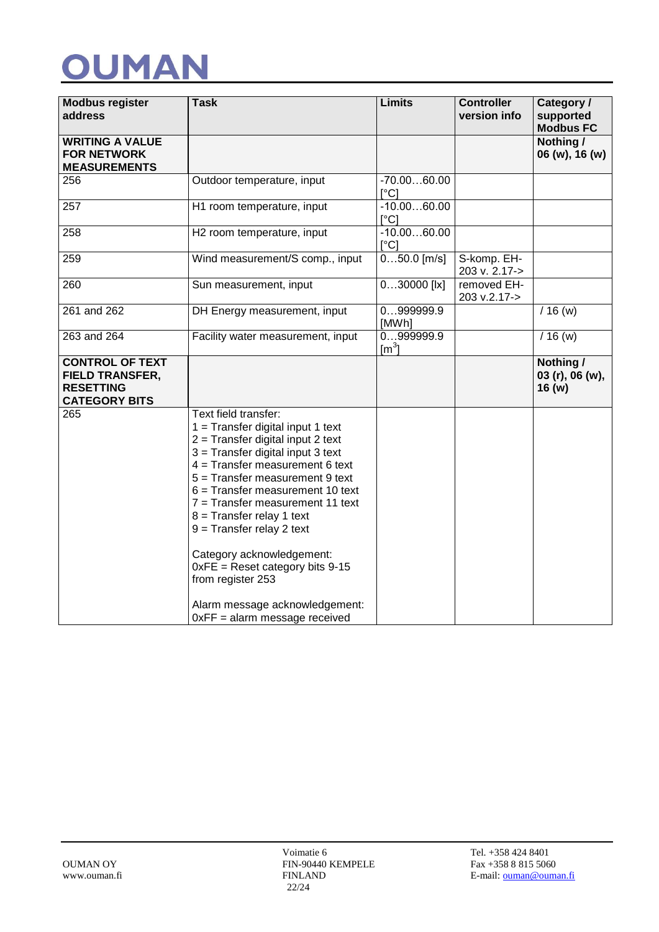| <b>Modbus register</b><br>address                                                            | <b>Task</b>                                                                                                                                                                                                                                                                                                                                                                                                                                                                                                           | <b>Limits</b>                 | <b>Controller</b><br>version info | Category /<br>supported<br><b>Modbus FC</b> |
|----------------------------------------------------------------------------------------------|-----------------------------------------------------------------------------------------------------------------------------------------------------------------------------------------------------------------------------------------------------------------------------------------------------------------------------------------------------------------------------------------------------------------------------------------------------------------------------------------------------------------------|-------------------------------|-----------------------------------|---------------------------------------------|
| <b>WRITING A VALUE</b><br><b>FOR NETWORK</b><br><b>MEASUREMENTS</b>                          |                                                                                                                                                                                                                                                                                                                                                                                                                                                                                                                       |                               |                                   | Nothing /<br>06 (w), 16 (w)                 |
| 256                                                                                          | Outdoor temperature, input                                                                                                                                                                                                                                                                                                                                                                                                                                                                                            | $-70.0060.00$<br>$\lceil$ °C] |                                   |                                             |
| 257                                                                                          | H1 room temperature, input                                                                                                                                                                                                                                                                                                                                                                                                                                                                                            | $-10.0060.00$<br>$\lceil$ °C] |                                   |                                             |
| 258                                                                                          | H2 room temperature, input                                                                                                                                                                                                                                                                                                                                                                                                                                                                                            | $-10.0060.00$<br>$\lceil$ °C] |                                   |                                             |
| 259                                                                                          | Wind measurement/S comp., input                                                                                                                                                                                                                                                                                                                                                                                                                                                                                       | $050.0$ [m/s]                 | S-komp. EH-<br>203 v. 2.17->      |                                             |
| 260                                                                                          | Sun measurement, input                                                                                                                                                                                                                                                                                                                                                                                                                                                                                                | $030000$ [ x]                 | removed EH-<br>203 v.2.17->       |                                             |
| 261 and 262                                                                                  | DH Energy measurement, input                                                                                                                                                                                                                                                                                                                                                                                                                                                                                          | 0999999.9<br>[MWh]            |                                   | $/16$ (w)                                   |
| 263 and 264                                                                                  | Facility water measurement, input                                                                                                                                                                                                                                                                                                                                                                                                                                                                                     | 0999999.9<br>$\text{[m}^3$    |                                   | $/16$ (w)                                   |
| <b>CONTROL OF TEXT</b><br><b>FIELD TRANSFER,</b><br><b>RESETTING</b><br><b>CATEGORY BITS</b> |                                                                                                                                                                                                                                                                                                                                                                                                                                                                                                                       |                               |                                   | Nothing /<br>03 (r), 06 (w),<br>16(w)       |
| 265                                                                                          | Text field transfer:<br>$1 =$ Transfer digital input 1 text<br>$2$ = Transfer digital input 2 text<br>3 = Transfer digital input 3 text<br>$4 =$ Transfer measurement 6 text<br>5 = Transfer measurement 9 text<br>$6$ = Transfer measurement 10 text<br>$7 =$ Transfer measurement 11 text<br>$8 =$ Transfer relay 1 text<br>$9$ = Transfer relay 2 text<br>Category acknowledgement:<br>$0xFE =$ Reset category bits 9-15<br>from register 253<br>Alarm message acknowledgement:<br>$0xFF =$ alarm message received |                               |                                   |                                             |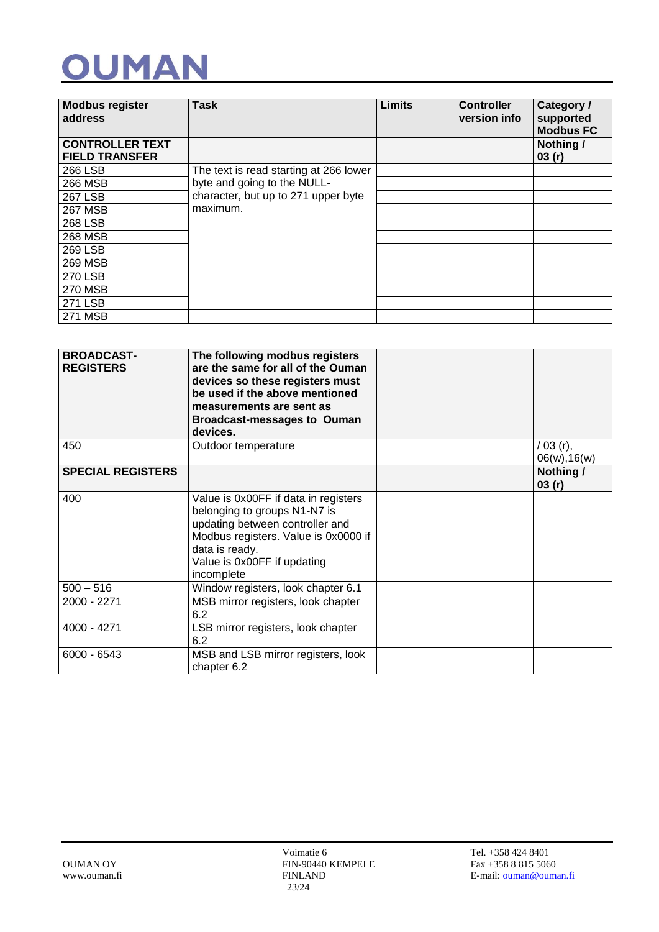| <b>Modbus register</b><br>address               | <b>Task</b>                            | <b>Limits</b> | <b>Controller</b><br>version info | Category /<br>supported<br><b>Modbus FC</b> |
|-------------------------------------------------|----------------------------------------|---------------|-----------------------------------|---------------------------------------------|
| <b>CONTROLLER TEXT</b><br><b>FIELD TRANSFER</b> |                                        |               |                                   | Nothing /<br>03(r)                          |
| 266 LSB                                         | The text is read starting at 266 lower |               |                                   |                                             |
| 266 MSB                                         | byte and going to the NULL-            |               |                                   |                                             |
| <b>267 LSB</b>                                  | character, but up to 271 upper byte    |               |                                   |                                             |
| <b>267 MSB</b>                                  | maximum.                               |               |                                   |                                             |
| <b>268 LSB</b>                                  |                                        |               |                                   |                                             |
| <b>268 MSB</b>                                  |                                        |               |                                   |                                             |
| <b>269 LSB</b>                                  |                                        |               |                                   |                                             |
| <b>269 MSB</b>                                  |                                        |               |                                   |                                             |
| <b>270 LSB</b>                                  |                                        |               |                                   |                                             |
| <b>270 MSB</b>                                  |                                        |               |                                   |                                             |
| <b>271 LSB</b>                                  |                                        |               |                                   |                                             |
| <b>271 MSB</b>                                  |                                        |               |                                   |                                             |

| <b>BROADCAST-</b><br><b>REGISTERS</b> | The following modbus registers<br>are the same for all of the Ouman<br>devices so these registers must<br>be used if the above mentioned<br>measurements are sent as<br><b>Broadcast-messages to Ouman</b><br>devices. |  |                           |
|---------------------------------------|------------------------------------------------------------------------------------------------------------------------------------------------------------------------------------------------------------------------|--|---------------------------|
| 450                                   | Outdoor temperature                                                                                                                                                                                                    |  | / 03 (r),<br>06(w), 16(w) |
| <b>SPECIAL REGISTERS</b>              |                                                                                                                                                                                                                        |  | Nothing /<br>03(r)        |
| 400                                   | Value is 0x00FF if data in registers<br>belonging to groups N1-N7 is<br>updating between controller and<br>Modbus registers. Value is 0x0000 if<br>data is ready.<br>Value is 0x00FF if updating<br>incomplete         |  |                           |
| $500 - 516$                           | Window registers, look chapter 6.1                                                                                                                                                                                     |  |                           |
| 2000 - 2271                           | MSB mirror registers, look chapter<br>6.2                                                                                                                                                                              |  |                           |
| 4000 - 4271                           | LSB mirror registers, look chapter<br>6.2                                                                                                                                                                              |  |                           |
| $6000 - 6543$                         | MSB and LSB mirror registers, look<br>chapter 6.2                                                                                                                                                                      |  |                           |